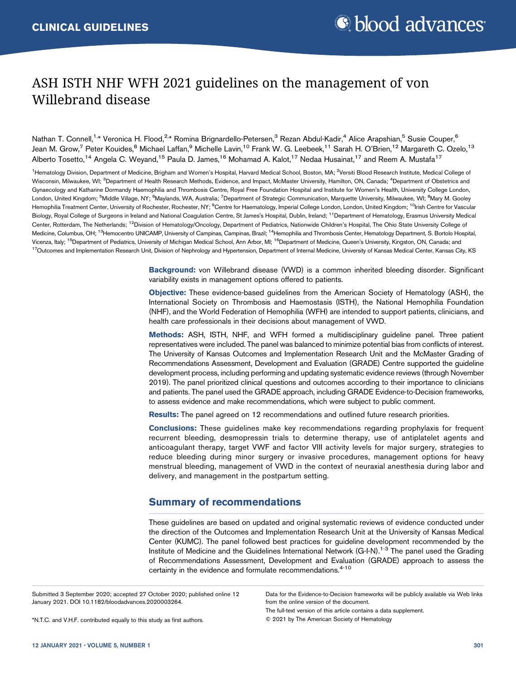# ASH ISTH NHF WFH 2021 guidelines on the management of von Willebrand disease

Nathan T. Connell,<sup>1,\*</sup> Veronica H. Flood,<sup>2,\*</sup> Romina Brignardello-Petersen,<sup>3</sup> Rezan Abdul-Kadir,<sup>4</sup> Alice Arapshian,<sup>5</sup> Susie Couper,<sup>6</sup> Jean M. Grow,<sup>7</sup> Peter Kouides,<sup>8</sup> Michael Laffan,<sup>9</sup> Michelle Lavin,<sup>10</sup> Frank W. G. Leebeek,<sup>11</sup> Sarah H. O'Brien,<sup>12</sup> Margareth C. Ozelo,<sup>13</sup> Alberto Tosetto,<sup>14</sup> Angela C. Weyand,<sup>15</sup> Paula D. James,<sup>16</sup> Mohamad A. Kalot,<sup>17</sup> Nedaa Husainat,<sup>17</sup> and Reem A. Mustafa<sup>17</sup>

<sup>1</sup>Hematology Division, Department of Medicine, Brigham and Women's Hospital, Harvard Medical School, Boston, MA; <sup>2</sup>Versiti Blood Research Institute, Medical College of Wisconsin, Milwaukee, WI; <sup>3</sup>Department of Health Research Methods, Evidence, and Impact, McMaster University, Hamilton, ON, Canada; <sup>4</sup>Department of Obstetrics and Gynaecology and Katharine Dormandy Haemophilia and Thrombosis Centre, Royal Free Foundation Hospital and Institute for Women's Health, University College London, London, United Kingdom; <sup>5</sup>Middle Village, NY; <sup>6</sup>Maylands, WA, Australia; <sup>7</sup>Department of Strategic Communication, Marquette University, Milwaukee, WI; <sup>8</sup>Mary M. Gooley Hemophilia Treatment Center, University of Rochester, Rochester, NY; <sup>9</sup>Centre for Haematology, Imperial College London, London, United Kingdom; <sup>10</sup>lrish Centre for Vascular Biology, Royal College of Surgeons in Ireland and National Coagulation Centre, St James's Hospital, Dublin, Ireland; 11Department of Hematology, Erasmus University Medical Center, Rotterdam, The Netherlands; <sup>12</sup>Division of Hematology/Oncology, Department of Pediatrics, Nationwide Children's Hospital, The Ohio State University College of Medicine, Columbus, OH; <sup>13</sup>Hemocentro UNICAMP, University of Campinas, Campinas, Brazil; <sup>14</sup>Hemophilia and Thrombosis Center, Hematology Department, S. Bortolo Hospital, Vicenza, Italy; <sup>15</sup>Department of Pediatrics, University of Michigan Medical School, Ann Arbor, MI; <sup>16</sup>Department of Medicine, Queen's University, Kingston, ON, Canada; and <sup>17</sup>Outcomes and Implementation Research Unit, Division of Nephrology and Hypertension, Department of Internal Medicine, University of Kansas Medical Center, Kansas City, KS

> Background: von Willebrand disease (VWD) is a common inherited bleeding disorder. Significant variability exists in management options offered to patients.

> Objective: These evidence-based guidelines from the American Society of Hematology (ASH), the International Society on Thrombosis and Haemostasis (ISTH), the National Hemophilia Foundation (NHF), and the World Federation of Hemophilia (WFH) are intended to support patients, clinicians, and health care professionals in their decisions about management of VWD.

> Methods: ASH, ISTH, NHF, and WFH formed a multidisciplinary guideline panel. Three patient representatives were included. The panel was balanced to minimize potential bias from conflicts of interest. The University of Kansas Outcomes and Implementation Research Unit and the McMaster Grading of Recommendations Assessment, Development and Evaluation (GRADE) Centre supported the guideline development process, including performing and updating systematic evidence reviews (through November 2019). The panel prioritized clinical questions and outcomes according to their importance to clinicians and patients. The panel used the GRADE approach, including GRADE Evidence-to-Decision frameworks, to assess evidence and make recommendations, which were subject to public comment.

Results: The panel agreed on 12 recommendations and outlined future research priorities.

**Conclusions:** These guidelines make key recommendations regarding prophylaxis for frequent recurrent bleeding, desmopressin trials to determine therapy, use of antiplatelet agents and anticoagulant therapy, target VWF and factor VIII activity levels for major surgery, strategies to reduce bleeding during minor surgery or invasive procedures, management options for heavy menstrual bleeding, management of VWD in the context of neuraxial anesthesia during labor and delivery, and management in the postpartum setting.

# Summary of recommendations

These guidelines are based on updated and original systematic reviews of evidence conducted under the direction of the Outcomes and Implementation Research Unit at the University of Kansas Medical Center (KUMC). The panel followed best practices for guideline development recommended by the Institute of Medicine and the Guidelines International Network  $(G-I-N)$ .<sup>1-3</sup> The panel used the Grading of Recommendations Assessment, Development and Evaluation (GRADE) approach to assess the certainty in the evidence and formulate recommendations.<sup>4-10</sup>

Submitted 3 September 2020; accepted 27 October 2020; published online 12 January 2021. DOI 10.1182/bloodadvances.2020003264.

Data for the Evidence-to-Decision frameworks will be publicly available via Web links from the online version of the document.

\*N.T.C. and V.H.F. contributed equally to this study as first authors.

The full-text version of this article contains a data supplement. © 2021 by The American Society of Hematology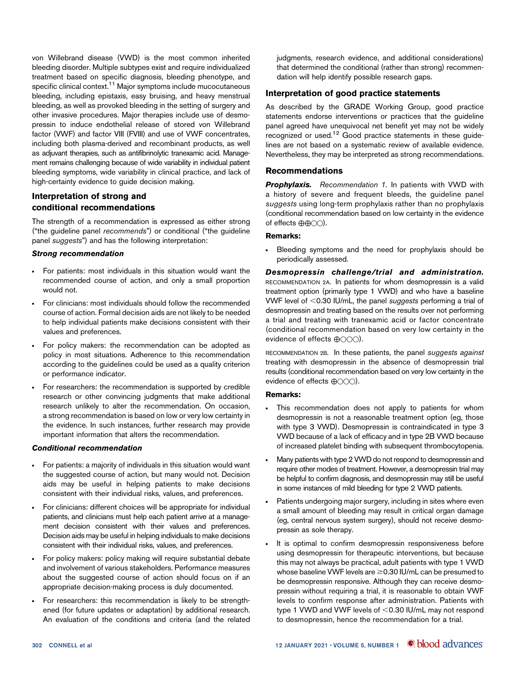von Willebrand disease (VWD) is the most common inherited bleeding disorder. Multiple subtypes exist and require individualized treatment based on specific diagnosis, bleeding phenotype, and specific clinical context.<sup>11</sup> Major symptoms include mucocutaneous bleeding, including epistaxis, easy bruising, and heavy menstrual bleeding, as well as provoked bleeding in the setting of surgery and other invasive procedures. Major therapies include use of desmopressin to induce endothelial release of stored von Willebrand factor (VWF) and factor VIII (FVIII) and use of VWF concentrates, including both plasma-derived and recombinant products, as well as adjuvant therapies, such as antifibrinolytic tranexamic acid. Management remains challenging because of wide variability in individual patient bleeding symptoms, wide variability in clinical practice, and lack of high-certainty evidence to guide decision making.

# Interpretation of strong and conditional recommendations

The strength of a recommendation is expressed as either strong ("the guideline panel recommends") or conditional ("the guideline panel suggests") and has the following interpretation:

#### Strong recommendation

- For patients: most individuals in this situation would want the recommended course of action, and only a small proportion would not.
- For clinicians: most individuals should follow the recommended course of action. Formal decision aids are not likely to be needed to help individual patients make decisions consistent with their values and preferences.
- For policy makers: the recommendation can be adopted as policy in most situations. Adherence to this recommendation according to the guidelines could be used as a quality criterion or performance indicator.
- For researchers: the recommendation is supported by credible research or other convincing judgments that make additional research unlikely to alter the recommendation. On occasion, a strong recommendation is based on low or very low certainty in the evidence. In such instances, further research may provide important information that alters the recommendation.

### Conditional recommendation

- For patients: a majority of individuals in this situation would want the suggested course of action, but many would not. Decision aids may be useful in helping patients to make decisions consistent with their individual risks, values, and preferences.
- For clinicians: different choices will be appropriate for individual patients, and clinicians must help each patient arrive at a management decision consistent with their values and preferences. Decision aids may be useful in helping individuals to make decisions consistent with their individual risks, values, and preferences.
- For policy makers: policy making will require substantial debate and involvement of various stakeholders. Performance measures about the suggested course of action should focus on if an appropriate decision-making process is duly documented.
- For researchers: this recommendation is likely to be strengthened (for future updates or adaptation) by additional research. An evaluation of the conditions and criteria (and the related

judgments, research evidence, and additional considerations) that determined the conditional (rather than strong) recommendation will help identify possible research gaps.

### Interpretation of good practice statements

As described by the GRADE Working Group, good practice statements endorse interventions or practices that the guideline panel agreed have unequivocal net benefit yet may not be widely recognized or used.<sup>12</sup> Good practice statements in these guidelines are not based on a systematic review of available evidence. Nevertheless, they may be interpreted as strong recommendations.

# Recommendations

Prophylaxis. [Recommendation 1.](#page-7-0) In patients with VWD with a history of severe and frequent bleeds, the guideline panel suggests using long-term prophylaxis rather than no prophylaxis (conditional recommendation based on low certainty in the evidence of effects ⊕⊕ $\cap$ ).

### Remarks:

• Bleeding symptoms and the need for prophylaxis should be periodically assessed.

Desmopressin challenge/trial and administration. [RECOMMENDATION 2A](#page-9-0). In patients for whom desmopressin is a valid treatment option (primarily type 1 VWD) and who have a baseline VWF level of  $<$  0.30 IU/mL, the panel suggests performing a trial of desmopressin and treating based on the results over not performing a trial and treating with tranexamic acid or factor concentrate (conditional recommendation based on very low certainty in the evidence of effects ⊕○○○).

[RECOMMENDATION 2B](#page-9-0). In these patients, the panel suggests against treating with desmopressin in the absence of desmopressin trial results (conditional recommendation based on very low certainty in the evidence of effects ⊕ $\cap$ 

#### Remarks:

- This recommendation does not apply to patients for whom desmopressin is not a reasonable treatment option (eg, those with type 3 VWD). Desmopressin is contraindicated in type 3 VWD because of a lack of efficacy and in type 2B VWD because of increased platelet binding with subsequent thrombocytopenia.
- Many patients with type 2 VWD do not respond to desmopressin and require other modes of treatment. However, a desmopressin trial may be helpful to confirm diagnosis, and desmopressin may still be useful in some instances of mild bleeding for type 2 VWD patients.
- Patients undergoing major surgery, including in sites where even a small amount of bleeding may result in critical organ damage (eg, central nervous system surgery), should not receive desmopressin as sole therapy.
- It is optimal to confirm desmopressin responsiveness before using desmopressin for therapeutic interventions, but because this may not always be practical, adult patients with type 1 VWD whose baseline VWF levels are  $\geq$  0.30 IU/mL can be presumed to be desmopressin responsive. Although they can receive desmopressin without requiring a trial, it is reasonable to obtain VWF levels to confirm response after administration. Patients with type 1 VWD and VWF levels of <0.30 IU/mL may not respond to desmopressin, hence the recommendation for a trial.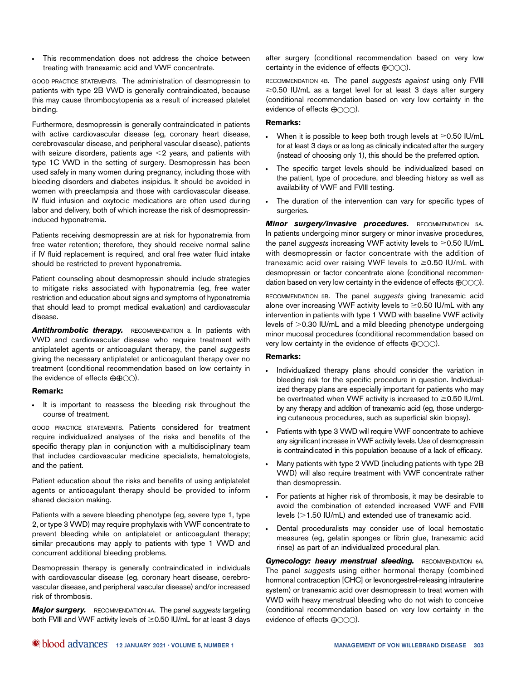This recommendation does not address the choice between treating with tranexamic acid and VWF concentrate.

GOOD PRACTICE STATEMENTS. The administration of desmopressin to patients with type 2B VWD is generally contraindicated, because this may cause thrombocytopenia as a result of increased platelet binding.

Furthermore, desmopressin is generally contraindicated in patients with active cardiovascular disease (eg, coronary heart disease, cerebrovascular disease, and peripheral vascular disease), patients with seizure disorders, patients age  $\leq$  years, and patients with type 1C VWD in the setting of surgery. Desmopressin has been used safely in many women during pregnancy, including those with bleeding disorders and diabetes insipidus. It should be avoided in women with preeclampsia and those with cardiovascular disease. IV fluid infusion and oxytocic medications are often used during labor and delivery, both of which increase the risk of desmopressininduced hyponatremia.

Patients receiving desmopressin are at risk for hyponatremia from free water retention; therefore, they should receive normal saline if IV fluid replacement is required, and oral free water fluid intake should be restricted to prevent hyponatremia.

Patient counseling about desmopressin should include strategies to mitigate risks associated with hyponatremia (eg, free water restriction and education about signs and symptoms of hyponatremia that should lead to prompt medical evaluation) and cardiovascular disease.

Antithrombotic therapy. [RECOMMENDATION 3](#page-11-0). In patients with VWD and cardiovascular disease who require treatment with antiplatelet agents or anticoagulant therapy, the panel suggests giving the necessary antiplatelet or anticoagulant therapy over no treatment (conditional recommendation based on low certainty in the evidence of effects ⊕⊕◯◯).

### Remark:

It is important to reassess the bleeding risk throughout the course of treatment.

GOOD PRACTICE STATEMENTS. Patients considered for treatment require individualized analyses of the risks and benefits of the specific therapy plan in conjunction with a multidisciplinary team that includes cardiovascular medicine specialists, hematologists, and the patient.

Patient education about the risks and benefits of using antiplatelet agents or anticoagulant therapy should be provided to inform shared decision making.

Patients with a severe bleeding phenotype (eg, severe type 1, type 2, or type 3 VWD) may require prophylaxis with VWF concentrate to prevent bleeding while on antiplatelet or anticoagulant therapy; similar precautions may apply to patients with type 1 VWD and concurrent additional bleeding problems.

Desmopressin therapy is generally contraindicated in individuals with cardiovascular disease (eg, coronary heart disease, cerebrovascular disease, and peripheral vascular disease) and/or increased risk of thrombosis.

**Major surgery.** [RECOMMENDATION 4A](#page-13-0). The panel suggests targeting both FVIII and VWF activity levels of  $\geq$ 0.50 IU/mL for at least 3 days

after surgery (conditional recommendation based on very low certainty in the evidence of effects ⊕ $\cap$ 

[RECOMMENDATION 4B](#page-13-0). The panel suggests against using only FVIII  $\geq$  0.50 IU/mL as a target level for at least 3 days after surgery (conditional recommendation based on very low certainty in the evidence of effects ⊕◯◯◯).

#### Remarks:

- When it is possible to keep both trough levels at  $\geq$  0.50 IU/mL for at least 3 days or as long as clinically indicated after the surgery (instead of choosing only 1), this should be the preferred option.
- The specific target levels should be individualized based on the patient, type of procedure, and bleeding history as well as availability of VWF and FVIII testing.
- The duration of the intervention can vary for specific types of surgeries.

Minor surgery/invasive procedures. [RECOMMENDATION 5A](#page-14-0). In patients undergoing minor surgery or minor invasive procedures, the panel suggests increasing VWF activity levels to  $\geq$ 0.50 IU/mL with desmopressin or factor concentrate with the addition of tranexamic acid over raising VWF levels to  $\geq$ 0.50 IU/mL with desmopressin or factor concentrate alone (conditional recommendation based on very low certainty in the evidence of effects ⊕◯◯◯).

[RECOMMENDATION 5B](#page-14-0). The panel suggests giving tranexamic acid alone over increasing VWF activity levels to  $\geq$ 0.50 IU/mL with any intervention in patients with type 1 VWD with baseline VWF activity levels of  $>0.30$  IU/mL and a mild bleeding phenotype undergoing minor mucosal procedures (conditional recommendation based on very low certainty in the evidence of effects ⊕◯◯◯).

### Remarks:

- Individualized therapy plans should consider the variation in bleeding risk for the specific procedure in question. Individualized therapy plans are especially important for patients who may be overtreated when VWF activity is increased to  $\geq$  0.50 IU/mL by any therapy and addition of tranexamic acid (eg, those undergoing cutaneous procedures, such as superficial skin biopsy).
- Patients with type 3 VWD will require VWF concentrate to achieve any significant increase in VWF activity levels. Use of desmopressin is contraindicated in this population because of a lack of efficacy.
- Many patients with type 2 VWD (including patients with type 2B VWD) will also require treatment with VWF concentrate rather than desmopressin.
- For patients at higher risk of thrombosis, it may be desirable to avoid the combination of extended increased VWF and FVIII levels  $(>1.50$  IU/mL) and extended use of tranexamic acid.
- Dental proceduralists may consider use of local hemostatic measures (eg, gelatin sponges or fibrin glue, tranexamic acid rinse) as part of an individualized procedural plan.

Gynecology: heavy menstrual sleeding. [RECOMMENDATION 6A](#page-15-0). The panel suggests using either hormonal therapy (combined hormonal contraception [CHC] or levonorgestrel-releasing intrauterine system) or tranexamic acid over desmopressin to treat women with VWD with heavy menstrual bleeding who do not wish to conceive (conditional recommendation based on very low certainty in the evidence of effects ⊕◯◯◯).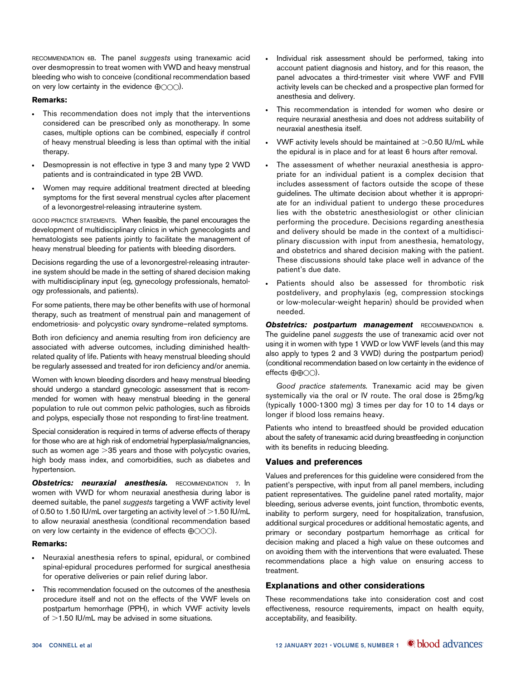[RECOMMENDATION 6B](#page-15-0). The panel suggests using tranexamic acid over desmopressin to treat women with VWD and heavy menstrual bleeding who wish to conceive (conditional recommendation based on very low certainty in the evidence ⊕◯◯◯).

#### Remarks:

- This recommendation does not imply that the interventions considered can be prescribed only as monotherapy. In some cases, multiple options can be combined, especially if control of heavy menstrual bleeding is less than optimal with the initial therapy.
- Desmopressin is not effective in type 3 and many type 2 VWD patients and is contraindicated in type 2B VWD.
- Women may require additional treatment directed at bleeding symptoms for the first several menstrual cycles after placement of a levonorgestrel-releasing intrauterine system.

GOOD PRACTICE STATEMENTS. When feasible, the panel encourages the development of multidisciplinary clinics in which gynecologists and hematologists see patients jointly to facilitate the management of heavy menstrual bleeding for patients with bleeding disorders.

Decisions regarding the use of a levonorgestrel-releasing intrauterine system should be made in the setting of shared decision making with multidisciplinary input (eg, gynecology professionals, hematology professionals, and patients).

For some patients, there may be other benefits with use of hormonal therapy, such as treatment of menstrual pain and management of endometriosis- and polycystic ovary syndrome–related symptoms.

Both iron deficiency and anemia resulting from iron deficiency are associated with adverse outcomes, including diminished healthrelated quality of life. Patients with heavy menstrual bleeding should be regularly assessed and treated for iron deficiency and/or anemia.

Women with known bleeding disorders and heavy menstrual bleeding should undergo a standard gynecologic assessment that is recommended for women with heavy menstrual bleeding in the general population to rule out common pelvic pathologies, such as fibroids and polyps, especially those not responding to first-line treatment.

Special consideration is required in terms of adverse effects of therapy for those who are at high risk of endometrial hyperplasia/malignancies, such as women age  $>35$  years and those with polycystic ovaries, high body mass index, and comorbidities, such as diabetes and hypertension.

Obstetrics: neuraxial anesthesia. [RECOMMENDATION 7](#page-17-0). In women with VWD for whom neuraxial anesthesia during labor is deemed suitable, the panel suggests targeting a VWF activity level of 0.50 to 1.50 IU/mL over targeting an activity level of  $>$  1.50 IU/mL to allow neuraxial anesthesia (conditional recommendation based on very low certainty in the evidence of effects ⊕◯◯◯).

#### Remarks:

- Neuraxial anesthesia refers to spinal, epidural, or combined spinal-epidural procedures performed for surgical anesthesia for operative deliveries or pain relief during labor.
- This recommendation focused on the outcomes of the anesthesia procedure itself and not on the effects of the VWF levels on postpartum hemorrhage (PPH), in which VWF activity levels of  $>$  1.50 IU/mL may be advised in some situations.
- Individual risk assessment should be performed, taking into account patient diagnosis and history, and for this reason, the panel advocates a third-trimester visit where VWF and FVIII activity levels can be checked and a prospective plan formed for anesthesia and delivery.
- This recommendation is intended for women who desire or require neuraxial anesthesia and does not address suitability of neuraxial anesthesia itself.
- VWF activity levels should be maintained at  $>$ 0.50 IU/mL while the epidural is in place and for at least 6 hours after removal.
- The assessment of whether neuraxial anesthesia is appropriate for an individual patient is a complex decision that includes assessment of factors outside the scope of these guidelines. The ultimate decision about whether it is appropriate for an individual patient to undergo these procedures lies with the obstetric anesthesiologist or other clinician performing the procedure. Decisions regarding anesthesia and delivery should be made in the context of a multidisciplinary discussion with input from anesthesia, hematology, and obstetrics and shared decision making with the patient. These discussions should take place well in advance of the patient's due date.
- Patients should also be assessed for thrombotic risk postdelivery, and prophylaxis (eg, compression stockings or low-molecular-weight heparin) should be provided when needed.

**Obstetrics: postpartum management** [RECOMMENDATION 8](#page-18-0). The guideline panel suggests the use of tranexamic acid over not using it in women with type 1 VWD or low VWF levels (and this may also apply to types 2 and 3 VWD) during the postpartum period) (conditional recommendation based on low certainty in the evidence of effects ⊕⊕ $\cap$ ).

Good practice statements. Tranexamic acid may be given systemically via the oral or IV route. The oral dose is 25mg/kg (typically 1000-1300 mg) 3 times per day for 10 to 14 days or longer if blood loss remains heavy.

Patients who intend to breastfeed should be provided education about the safety of tranexamic acid during breastfeeding in conjunction with its benefits in reducing bleeding.

### Values and preferences

Values and preferences for this guideline were considered from the patient's perspective, with input from all panel members, including patient representatives. The guideline panel rated mortality, major bleeding, serious adverse events, joint function, thrombotic events, inability to perform surgery, need for hospitalization, transfusion, additional surgical procedures or additional hemostatic agents, and primary or secondary postpartum hemorrhage as critical for decision making and placed a high value on these outcomes and on avoiding them with the interventions that were evaluated. These recommendations place a high value on ensuring access to treatment.

# Explanations and other considerations

These recommendations take into consideration cost and cost effectiveness, resource requirements, impact on health equity, acceptability, and feasibility.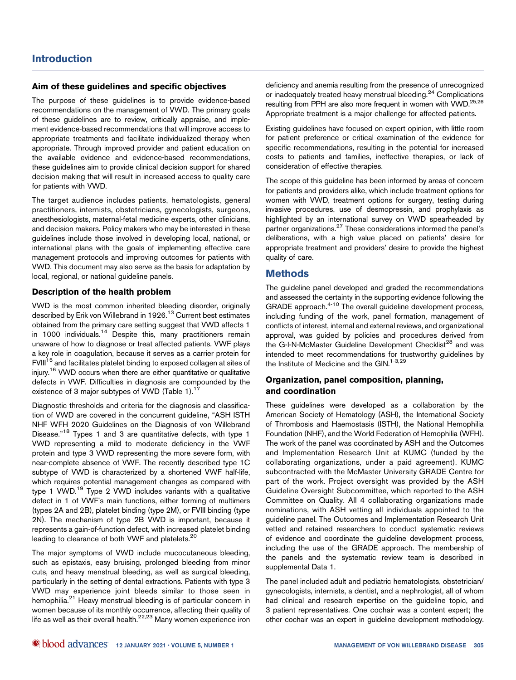### Aim of these guidelines and specific objectives

The purpose of these guidelines is to provide evidence-based recommendations on the management of VWD. The primary goals of these guidelines are to review, critically appraise, and implement evidence-based recommendations that will improve access to appropriate treatments and facilitate individualized therapy when appropriate. Through improved provider and patient education on the available evidence and evidence-based recommendations, these guidelines aim to provide clinical decision support for shared decision making that will result in increased access to quality care for patients with VWD.

The target audience includes patients, hematologists, general practitioners, internists, obstetricians, gynecologists, surgeons, anesthesiologists, maternal-fetal medicine experts, other clinicians, and decision makers. Policy makers who may be interested in these guidelines include those involved in developing local, national, or international plans with the goals of implementing effective care management protocols and improving outcomes for patients with VWD. This document may also serve as the basis for adaptation by local, regional, or national guideline panels.

# Description of the health problem

VWD is the most common inherited bleeding disorder, originally described by Erik von Willebrand in 1926.<sup>13</sup> Current best estimates obtained from the primary care setting suggest that VWD affects 1 in 1000 individuals.<sup>14</sup> Despite this, many practitioners remain unaware of how to diagnose or treat affected patients. VWF plays a key role in coagulation, because it serves as a carrier protein for FVIII<sup>15</sup> and facilitates platelet binding to exposed collagen at sites of injury.16 VWD occurs when there are either quantitative or qualitative defects in VWF. Difficulties in diagnosis are compounded by the existence of 3 major subtypes of VWD (Table 1).<sup>17</sup>

Diagnostic thresholds and criteria for the diagnosis and classification of VWD are covered in the concurrent guideline, "ASH ISTH NHF WFH 2020 Guidelines on the Diagnosis of von Willebrand Disease."<sup>18</sup> Types 1 and 3 are quantitative defects, with type 1 VWD representing a mild to moderate deficiency in the VWF protein and type 3 VWD representing the more severe form, with near-complete absence of VWF. The recently described type 1C subtype of VWD is characterized by a shortened VWF half-life, which requires potential management changes as compared with type 1 VWD.<sup>19</sup> Type 2 VWD includes variants with a qualitative defect in 1 of VWF's main functions, either forming of multimers (types 2A and 2B), platelet binding (type 2M), or FVIII binding (type 2N). The mechanism of type 2B VWD is important, because it represents a gain-of-function defect, with increased platelet binding leading to clearance of both VWF and platelets.<sup>20</sup>

The major symptoms of VWD include mucocutaneous bleeding, such as epistaxis, easy bruising, prolonged bleeding from minor cuts, and heavy menstrual bleeding, as well as surgical bleeding, particularly in the setting of dental extractions. Patients with type 3 VWD may experience joint bleeds similar to those seen in hemophilia.<sup>21</sup> Heavy menstrual bleeding is of particular concern in women because of its monthly occurrence, affecting their quality of life as well as their overall health.<sup>22,23</sup> Many women experience iron

deficiency and anemia resulting from the presence of unrecognized or inadequately treated heavy menstrual bleeding.<sup>24</sup> Complications resulting from PPH are also more frequent in women with VWD.<sup>25,26</sup> Appropriate treatment is a major challenge for affected patients.

Existing guidelines have focused on expert opinion, with little room for patient preference or critical examination of the evidence for specific recommendations, resulting in the potential for increased costs to patients and families, ineffective therapies, or lack of consideration of effective therapies.

The scope of this guideline has been informed by areas of concern for patients and providers alike, which include treatment options for women with VWD, treatment options for surgery, testing during invasive procedures, use of desmopressin, and prophylaxis as highlighted by an international survey on VWD spearheaded by partner organizations.<sup>27</sup> These considerations informed the panel's deliberations, with a high value placed on patients' desire for appropriate treatment and providers' desire to provide the highest quality of care.

# Methods

The guideline panel developed and graded the recommendations and assessed the certainty in the supporting evidence following the GRADE approach.<sup>4-10</sup> The overall guideline development process, including funding of the work, panel formation, management of conflicts of interest, internal and external reviews, and organizational approval, was guided by policies and procedures derived from the G-I-N-McMaster Guideline Development Checklist<sup>28</sup> and was intended to meet recommendations for trustworthy guidelines by the Institute of Medicine and the GIN.<sup>1-3,29</sup>

# Organization, panel composition, planning, and coordination

These guidelines were developed as a collaboration by the American Society of Hematology (ASH), the International Society of Thrombosis and Haemostasis (ISTH), the National Hemophilia Foundation (NHF), and the World Federation of Hemophilia (WFH). The work of the panel was coordinated by ASH and the Outcomes and Implementation Research Unit at KUMC (funded by the collaborating organizations, under a paid agreement). KUMC subcontracted with the McMaster University GRADE Centre for part of the work. Project oversight was provided by the ASH Guideline Oversight Subcommittee, which reported to the ASH Committee on Quality. All 4 collaborating organizations made nominations, with ASH vetting all individuals appointed to the guideline panel. The Outcomes and Implementation Research Unit vetted and retained researchers to conduct systematic reviews of evidence and coordinate the guideline development process, including the use of the GRADE approach. The membership of the panels and the systematic review team is described in supplemental Data 1.

The panel included adult and pediatric hematologists, obstetrician/ gynecologists, internists, a dentist, and a nephrologist, all of whom had clinical and research expertise on the guideline topic, and 3 patient representatives. One cochair was a content expert; the other cochair was an expert in guideline development methodology.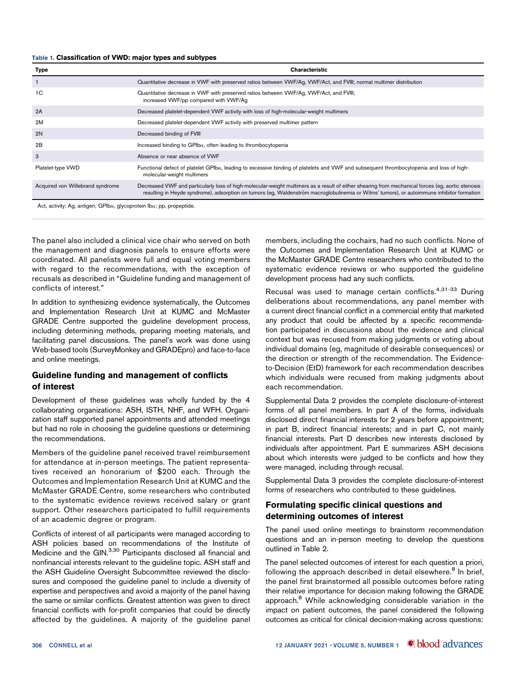#### Table 1. Classification of VWD: major types and subtypes

| Type                             | <b>Characteristic</b>                                                                                                                                                                                                                                                                           |
|----------------------------------|-------------------------------------------------------------------------------------------------------------------------------------------------------------------------------------------------------------------------------------------------------------------------------------------------|
|                                  | Quantitative decrease in VWF with preserved ratios between VWF/Aq, VWF/Act, and FVIII; normal multimer distribution                                                                                                                                                                             |
| 1C                               | Quantitative decrease in VWF with preserved ratios between VWF/Aq, VWF/Act, and FVIII;<br>increased VWF/pp compared with VWF/Aq                                                                                                                                                                 |
| 2A                               | Decreased platelet-dependent VWF activity with loss of high-molecular-weight multimers                                                                                                                                                                                                          |
| 2M                               | Decreased platelet-dependent VWF activity with preserved multimer pattern                                                                                                                                                                                                                       |
| 2N                               | Decreased binding of FVIII                                                                                                                                                                                                                                                                      |
| 2B                               | Increased binding to $GPIb\alpha$ , often leading to thrombocytopenia                                                                                                                                                                                                                           |
| 3                                | Absence or near absence of VWF                                                                                                                                                                                                                                                                  |
| Platelet-type VWD                | Functional defect of platelet GPIb $\alpha$ , leading to excessive binding of platelets and VWF and subsequent thrombocytopenia and loss of high-<br>molecular-weight multimers                                                                                                                 |
| Acquired von Willebrand syndrome | Decreased VWF and particularly loss of high-molecular-weight multimers as a result of either shearing from mechanical forces (eg, aortic stenosis<br>resulting in Heyde syndrome), adsorption on tumors (eq. Waldenström macroglobulinemia or Wilms' tumors), or autoimmune inhibitor formation |

Act, activity; Ag, antigen; GPIb $\alpha$ , glycoprotein Ib $\alpha$ ; pp, propeptide.

The panel also included a clinical vice chair who served on both the management and diagnosis panels to ensure efforts were coordinated. All panelists were full and equal voting members with regard to the recommendations, with the exception of recusals as described in "Guideline funding and management of conflicts of interest."

In addition to synthesizing evidence systematically, the Outcomes and Implementation Research Unit at KUMC and McMaster GRADE Centre supported the guideline development process, including determining methods, preparing meeting materials, and facilitating panel discussions. The panel's work was done using Web-based tools (SurveyMonkey and GRADEpro) and face-to-face and online meetings.

### Guideline funding and management of conflicts of interest

Development of these guidelines was wholly funded by the 4 collaborating organizations: ASH, ISTH, NHF, and WFH. Organization staff supported panel appointments and attended meetings but had no role in choosing the guideline questions or determining the recommendations.

Members of the guideline panel received travel reimbursement for attendance at in-person meetings. The patient representatives received an honorarium of \$200 each. Through the Outcomes and Implementation Research Unit at KUMC and the McMaster GRADE Centre, some researchers who contributed to the systematic evidence reviews received salary or grant support. Other researchers participated to fulfill requirements of an academic degree or program.

Conflicts of interest of all participants were managed according to ASH policies based on recommendations of the Institute of Medicine and the GIN.<sup>3,30</sup> Participants disclosed all financial and nonfinancial interests relevant to the guideline topic. ASH staff and the ASH Guideline Oversight Subcommittee reviewed the disclosures and composed the guideline panel to include a diversity of expertise and perspectives and avoid a majority of the panel having the same or similar conflicts. Greatest attention was given to direct financial conflicts with for-profit companies that could be directly affected by the guidelines. A majority of the guideline panel members, including the cochairs, had no such conflicts. None of the Outcomes and Implementation Research Unit at KUMC or the McMaster GRADE Centre researchers who contributed to the systematic evidence reviews or who supported the guideline development process had any such conflicts.

Recusal was used to manage certain conflicts.<sup>4,31-33</sup> During deliberations about recommendations, any panel member with a current direct financial conflict in a commercial entity that marketed any product that could be affected by a specific recommendation participated in discussions about the evidence and clinical context but was recused from making judgments or voting about individual domains (eg, magnitude of desirable consequences) or the direction or strength of the recommendation. The Evidenceto-Decision (EtD) framework for each recommendation describes which individuals were recused from making judgments about each recommendation.

Supplemental Data 2 provides the complete disclosure-of-interest forms of all panel members. In part A of the forms, individuals disclosed direct financial interests for 2 years before appointment; in part B, indirect financial interests; and in part C, not mainly financial interests. Part D describes new interests disclosed by individuals after appointment. Part E summarizes ASH decisions about which interests were judged to be conflicts and how they were managed, including through recusal.

Supplemental Data 3 provides the complete disclosure-of-interest forms of researchers who contributed to these guidelines.

# Formulating specific clinical questions and determining outcomes of interest

The panel used online meetings to brainstorm recommendation questions and an in-person meeting to develop the questions outlined in Table 2.

The panel selected outcomes of interest for each question a priori, following the approach described in detail elsewhere.<sup>8</sup> In brief, the panel first brainstormed all possible outcomes before rating their relative importance for decision making following the GRADE approach.<sup>8</sup> While acknowledging considerable variation in the impact on patient outcomes, the panel considered the following outcomes as critical for clinical decision-making across questions: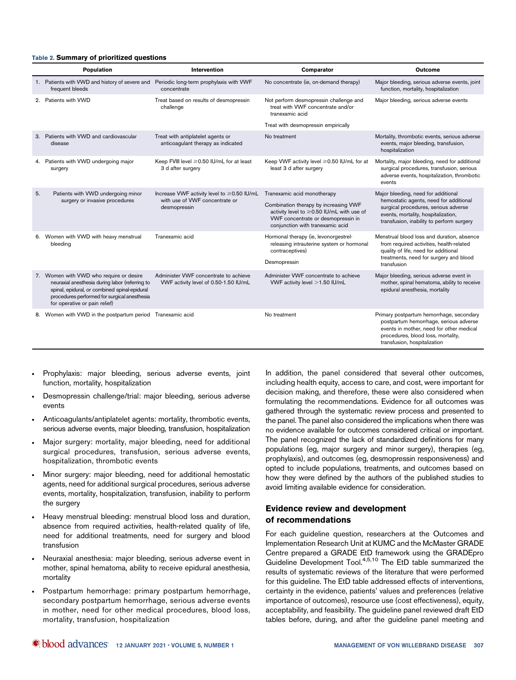#### Table 2. Summary of prioritized questions

|    | Population                                                                                                                                                                                                                   | Intervention                                                                                       | Comparator                                                                                                                                                                                  | Outcome                                                                                                                                                                                                   |
|----|------------------------------------------------------------------------------------------------------------------------------------------------------------------------------------------------------------------------------|----------------------------------------------------------------------------------------------------|---------------------------------------------------------------------------------------------------------------------------------------------------------------------------------------------|-----------------------------------------------------------------------------------------------------------------------------------------------------------------------------------------------------------|
|    | 1. Patients with VWD and history of severe and Periodic long-term prophylaxis with VWF<br>frequent bleeds                                                                                                                    | concentrate                                                                                        | No concentrate (ie, on-demand therapy)                                                                                                                                                      | Major bleeding, serious adverse events, joint<br>function, mortality, hospitalization                                                                                                                     |
|    | 2. Patients with VWD                                                                                                                                                                                                         | Treat based on results of desmopressin<br>challenge                                                | Not perform desmopressin challenge and<br>treat with VWF concentrate and/or<br>tranexamic acid                                                                                              | Major bleeding, serious adverse events                                                                                                                                                                    |
|    |                                                                                                                                                                                                                              |                                                                                                    | Treat with desmopressin empirically                                                                                                                                                         |                                                                                                                                                                                                           |
|    | 3. Patients with VWD and cardiovascular<br>disease                                                                                                                                                                           | Treat with antiplatelet agents or<br>anticoagulant therapy as indicated                            | No treatment                                                                                                                                                                                | Mortality, thrombotic events, serious adverse<br>events, major bleeding, transfusion,<br>hospitalization                                                                                                  |
|    | 4. Patients with VWD undergoing major<br>surgery                                                                                                                                                                             | Keep FVIII level ≥0.50 IU/mL for at least<br>3 d after surgery                                     | Keep VWF activity level ≥0.50 IU/mL for at<br>least 3 d after surgery                                                                                                                       | Mortality, major bleeding, need for additional<br>surgical procedures, transfusion, serious<br>adverse events, hospitalization, thrombotic<br>events                                                      |
| 5. | Patients with VWD undergoing minor<br>surgery or invasive procedures                                                                                                                                                         | Increase VWF activity level to $\geq$ 0.50 IU/mL<br>with use of VWF concentrate or<br>desmopressin | Tranexamic acid monotherapy<br>Combination therapy by increasing VWF<br>activity level to ≥0.50 IU/mL with use of<br>VWF concentrate or desmopressin in<br>conjunction with tranexamic acid | Major bleeding, need for additional<br>hemostatic agents, need for additional<br>surgical procedures, serious adverse<br>events, mortality, hospitalization,<br>transfusion, inability to perform surgery |
| 6. | Women with VWD with heavy menstrual<br>bleeding                                                                                                                                                                              | Tranexamic acid                                                                                    | Hormonal therapy (ie, levonorgestrel-<br>releasing intrauterine system or hormonal<br>contraceptives)<br>Desmopressin                                                                       | Menstrual blood loss and duration, absence<br>from required activities, health-related<br>quality of life, need for additional<br>treatments, need for surgery and blood<br>transfusion                   |
|    | 7. Women with VWD who require or desire<br>neuraxial anesthesia during labor (referring to<br>spinal, epidural, or combined spinal-epidural<br>procedures performed for surgical anesthesia<br>for operative or pain relief) | Administer VWF concentrate to achieve<br>VWF activity level of 0.50-1.50 IU/mL                     | Administer VWF concentrate to achieve<br>VWF activity level >1.50 IU/mL                                                                                                                     | Major bleeding, serious adverse event in<br>mother, spinal hematoma, ability to receive<br>epidural anesthesia, mortality                                                                                 |
|    | 8. Women with VWD in the postpartum period Tranexamic acid                                                                                                                                                                   |                                                                                                    | No treatment                                                                                                                                                                                | Primary postpartum hemorrhage, secondary<br>postpartum hemorrhage, serious adverse<br>events in mother, need for other medical<br>procedures, blood loss, mortality,<br>transfusion, hospitalization      |

- Prophylaxis: major bleeding, serious adverse events, joint function, mortality, hospitalization
- Desmopressin challenge/trial: major bleeding, serious adverse events
- Anticoagulants/antiplatelet agents: mortality, thrombotic events, serious adverse events, major bleeding, transfusion, hospitalization
- Major surgery: mortality, major bleeding, need for additional surgical procedures, transfusion, serious adverse events, hospitalization, thrombotic events
- Minor surgery: major bleeding, need for additional hemostatic agents, need for additional surgical procedures, serious adverse events, mortality, hospitalization, transfusion, inability to perform the surgery
- Heavy menstrual bleeding: menstrual blood loss and duration, absence from required activities, health-related quality of life, need for additional treatments, need for surgery and blood transfusion
- Neuraxial anesthesia: major bleeding, serious adverse event in mother, spinal hematoma, ability to receive epidural anesthesia, mortality
- Postpartum hemorrhage: primary postpartum hemorrhage, secondary postpartum hemorrhage, serious adverse events in mother, need for other medical procedures, blood loss, mortality, transfusion, hospitalization

In addition, the panel considered that several other outcomes, including health equity, access to care, and cost, were important for decision making, and therefore, these were also considered when formulating the recommendations. Evidence for all outcomes was gathered through the systematic review process and presented to the panel. The panel also considered the implications when there was no evidence available for outcomes considered critical or important. The panel recognized the lack of standardized definitions for many populations (eg, major surgery and minor surgery), therapies (eg, prophylaxis), and outcomes (eg, desmopressin responsiveness) and opted to include populations, treatments, and outcomes based on how they were defined by the authors of the published studies to avoid limiting available evidence for consideration.

# Evidence review and development of recommendations

For each guideline question, researchers at the Outcomes and Implementation Research Unit at KUMC and the McMaster GRADE Centre prepared a GRADE EtD framework using the GRADEpro Guideline Development Tool.<sup>4,5,10</sup> The EtD table summarized the results of systematic reviews of the literature that were performed for this guideline. The EtD table addressed effects of interventions, certainty in the evidence, patients' values and preferences (relative importance of outcomes), resource use (cost effectiveness), equity, acceptability, and feasibility. The guideline panel reviewed draft EtD tables before, during, and after the guideline panel meeting and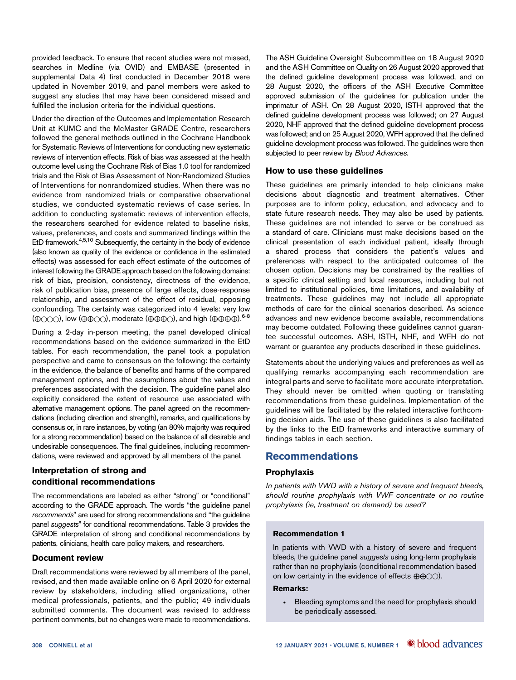<span id="page-7-0"></span>provided feedback. To ensure that recent studies were not missed, searches in Medline (via OVID) and EMBASE (presented in supplemental Data 4) first conducted in December 2018 were updated in November 2019, and panel members were asked to suggest any studies that may have been considered missed and fulfilled the inclusion criteria for the individual questions.

Under the direction of the Outcomes and Implementation Research Unit at KUMC and the McMaster GRADE Centre, researchers followed the general methods outlined in the Cochrane Handbook for Systematic Reviews of Interventions for conducting new systematic reviews of intervention effects. Risk of bias was assessed at the health outcome level using the Cochrane Risk of Bias 1.0 tool for randomized trials and the Risk of Bias Assessment of Non-Randomized Studies of Interventions for nonrandomized studies. When there was no evidence from randomized trials or comparative observational studies, we conducted systematic reviews of case series. In addition to conducting systematic reviews of intervention effects, the researchers searched for evidence related to baseline risks, values, preferences, and costs and summarized findings within the EtD framework.<sup>4,5,10</sup> Subsequently, the certainty in the body of evidence (also known as quality of the evidence or confidence in the estimated effects) was assessed for each effect estimate of the outcomes of interest following the GRADE approach based on the following domains: risk of bias, precision, consistency, directness of the evidence, risk of publication bias, presence of large effects, dose-response relationship, and assessment of the effect of residual, opposing confounding. The certainty was categorized into 4 levels: very low (⊕○○○), low (⊕⊕○○), moderate (⊕⊕⊕○), and high (⊕⊕⊕⊕).<sup>6-8</sup>

During a 2-day in-person meeting, the panel developed clinical recommendations based on the evidence summarized in the EtD tables. For each recommendation, the panel took a population perspective and came to consensus on the following: the certainty in the evidence, the balance of benefits and harms of the compared management options, and the assumptions about the values and preferences associated with the decision. The guideline panel also explicitly considered the extent of resource use associated with alternative management options. The panel agreed on the recommendations (including direction and strength), remarks, and qualifications by consensus or, in rare instances, by voting (an 80% majority was required for a strong recommendation) based on the balance of all desirable and undesirable consequences. The final guidelines, including recommendations, were reviewed and approved by all members of the panel.

# Interpretation of strong and conditional recommendations

The recommendations are labeled as either "strong" or "conditional" according to the GRADE approach. The words "the guideline panel recommends" are used for strong recommendations and "the guideline panel suggests" for conditional recommendations. Table 3 provides the GRADE interpretation of strong and conditional recommendations by patients, clinicians, health care policy makers, and researchers.

### Document review

Draft recommendations were reviewed by all members of the panel, revised, and then made available online on 6 April 2020 for external review by stakeholders, including allied organizations, other medical professionals, patients, and the public; 49 individuals submitted comments. The document was revised to address pertinent comments, but no changes were made to recommendations.

The ASH Guideline Oversight Subcommittee on 18 August 2020 and the ASH Committee on Quality on 26 August 2020 approved that the defined guideline development process was followed, and on 28 August 2020, the officers of the ASH Executive Committee approved submission of the guidelines for publication under the imprimatur of ASH. On 28 August 2020, ISTH approved that the defined guideline development process was followed; on 27 August 2020, NHF approved that the defined guideline development process was followed; and on 25 August 2020, WFH approved that the defined guideline development process was followed. The guidelines were then subjected to peer review by Blood Advances.

### How to use these guidelines

These guidelines are primarily intended to help clinicians make decisions about diagnostic and treatment alternatives. Other purposes are to inform policy, education, and advocacy and to state future research needs. They may also be used by patients. These guidelines are not intended to serve or be construed as a standard of care. Clinicians must make decisions based on the clinical presentation of each individual patient, ideally through a shared process that considers the patient's values and preferences with respect to the anticipated outcomes of the chosen option. Decisions may be constrained by the realities of a specific clinical setting and local resources, including but not limited to institutional policies, time limitations, and availability of treatments. These guidelines may not include all appropriate methods of care for the clinical scenarios described. As science advances and new evidence become available, recommendations may become outdated. Following these guidelines cannot guarantee successful outcomes. ASH, ISTH, NHF, and WFH do not warrant or guarantee any products described in these guidelines.

Statements about the underlying values and preferences as well as qualifying remarks accompanying each recommendation are integral parts and serve to facilitate more accurate interpretation. They should never be omitted when quoting or translating recommendations from these guidelines. Implementation of the guidelines will be facilitated by the related interactive forthcoming decision aids. The use of these guidelines is also facilitated by the links to the EtD frameworks and interactive summary of findings tables in each section.

# Recommendations

# Prophylaxis

In patients with VWD with a history of severe and frequent bleeds, should routine prophylaxis with VWF concentrate or no routine prophylaxis (ie, treatment on demand) be used?

# Recommendation 1

In patients with VWD with a history of severe and frequent bleeds, the guideline panel suggests using long-term prophylaxis rather than no prophylaxis (conditional recommendation based on low certainty in the evidence of effects ⊕⊕◯◯).

#### Remarks:

- Bleeding symptoms and the need for prophylaxis should be periodically assessed.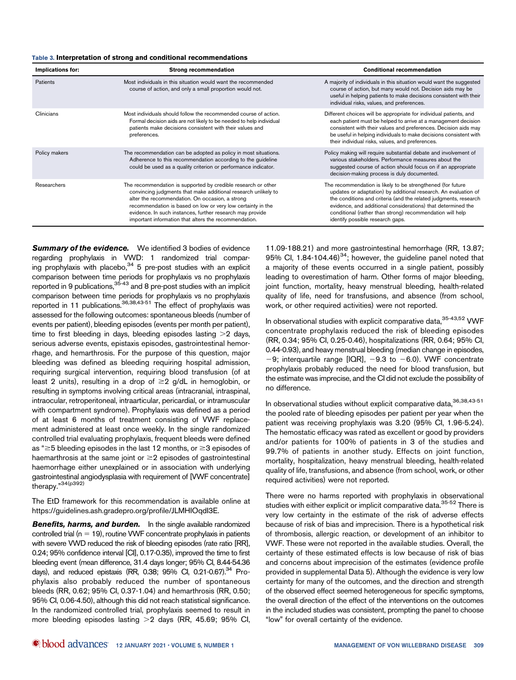| Table 3. Interpretation of strong and conditional recommendations |  |  |  |
|-------------------------------------------------------------------|--|--|--|
|-------------------------------------------------------------------|--|--|--|

| Implications for: | <b>Strong recommendation</b>                                                                                                                                                                                                                                                                                                                                            | <b>Conditional recommendation</b>                                                                                                                                                                                                                                                                                                                                   |
|-------------------|-------------------------------------------------------------------------------------------------------------------------------------------------------------------------------------------------------------------------------------------------------------------------------------------------------------------------------------------------------------------------|---------------------------------------------------------------------------------------------------------------------------------------------------------------------------------------------------------------------------------------------------------------------------------------------------------------------------------------------------------------------|
| Patients          | Most individuals in this situation would want the recommended<br>course of action, and only a small proportion would not.                                                                                                                                                                                                                                               | A majority of individuals in this situation would want the suggested<br>course of action, but many would not. Decision aids may be<br>useful in helping patients to make decisions consistent with their<br>individual risks, values, and preferences.                                                                                                              |
| Clinicians        | Most individuals should follow the recommended course of action.<br>Formal decision aids are not likely to be needed to help individual<br>patients make decisions consistent with their values and<br>preferences.                                                                                                                                                     | Different choices will be appropriate for individual patients, and<br>each patient must be helped to arrive at a management decision<br>consistent with their values and preferences. Decision aids may<br>be useful in helping individuals to make decisions consistent with<br>their individual risks, values, and preferences.                                   |
| Policy makers     | The recommendation can be adopted as policy in most situations.<br>Adherence to this recommendation according to the guideline<br>could be used as a quality criterion or performance indicator.                                                                                                                                                                        | Policy making will require substantial debate and involvement of<br>various stakeholders. Performance measures about the<br>suggested course of action should focus on if an appropriate<br>decision-making process is duly documented.                                                                                                                             |
| Researchers       | The recommendation is supported by credible research or other<br>convincing judgments that make additional research unlikely to<br>alter the recommendation. On occasion, a strong<br>recommendation is based on low or very low certainty in the<br>evidence. In such instances, further research may provide<br>important information that alters the recommendation. | The recommendation is likely to be strengthened (for future<br>updates or adaptation) by additional research. An evaluation of<br>the conditions and criteria (and the related judgments, research<br>evidence, and additional considerations) that determined the<br>conditional (rather than strong) recommendation will help<br>identify possible research gaps. |

Summary of the evidence. We identified 3 bodies of evidence regarding prophylaxis in VWD: 1 randomized trial comparing prophylaxis with placebo,  $34$  5 pre-post studies with an explicit comparison between time periods for prophylaxis vs no prophylaxis reported in 9 publications,<sup>35-43</sup> and 8 pre-post studies with an implicit comparison between time periods for prophylaxis vs no prophylaxis reported in 11 publications.36,38,43-51 The effect of prophylaxis was assessed for the following outcomes: spontaneous bleeds (number of events per patient), bleeding episodes (events per month per patient), time to first bleeding in days, bleeding episodes lasting  $>2$  days, serious adverse events, epistaxis episodes, gastrointestinal hemorrhage, and hemarthrosis. For the purpose of this question, major bleeding was defined as bleeding requiring hospital admission, requiring surgical intervention, requiring blood transfusion (of at least 2 units), resulting in a drop of  $\geq$  g/dL in hemoglobin, or resulting in symptoms involving critical areas (intracranial, intraspinal, intraocular, retroperitoneal, intraarticular, pericardial, or intramuscular with compartment syndrome). Prophylaxis was defined as a period of at least 6 months of treatment consisting of VWF replacement administered at least once weekly. In the single randomized controlled trial evaluating prophylaxis, frequent bleeds were defined as " $\geq$ 5 bleeding episodes in the last 12 months, or  $\geq$ 3 episodes of haemarthrosis at the same joint or  $\geq 2$  episodes of gastrointestinal haemorrhage either unexplained or in association with underlying gastrointestinal angiodysplasia with requirement of [VWF concentrate] therapy." 34(p392)

The EtD framework for this recommendation is available online at [https://guidelines.ash.gradepro.org/profile/JLMHIOqdI3E.](https://guidelines.ash.gradepro.org/profile/JLMHIOqdI3E)

Benefits, harms, and burden. In the single available randomized controlled trial ( $n = 19$ ), routine VWF concentrate prophylaxis in patients with severe VWD reduced the risk of bleeding episodes (rate ratio [RR], 0.24; 95% confidence interval [CI], 0.17-0.35), improved the time to first bleeding event (mean difference, 31.4 days longer; 95% CI, 8.44-54.36 days), and reduced epistaxis (RR, 0.38; 95% Cl, 0.21-0.67).<sup>34</sup> Prophylaxis also probably reduced the number of spontaneous bleeds (RR, 0.62; 95% CI, 0.37-1.04) and hemarthrosis (RR, 0.50; 95% CI, 0.06-4.50), although this did not reach statistical significance. In the randomized controlled trial, prophylaxis seemed to result in more bleeding episodes lasting  $>2$  days (RR, 45.69; 95% CI,

11.09-188.21) and more gastrointestinal hemorrhage (RR, 13.87; 95% Cl,  $1.84 \cdot 104.46$ <sup>34</sup>; however, the guideline panel noted that a majority of these events occurred in a single patient, possibly leading to overestimation of harm. Other forms of major bleeding, joint function, mortality, heavy menstrual bleeding, health-related quality of life, need for transfusions, and absence (from school, work, or other required activities) were not reported.

In observational studies with explicit comparative data, 35-43,52 VWF concentrate prophylaxis reduced the risk of bleeding episodes (RR, 0.34; 95% CI, 0.25-0.46), hospitalizations (RR, 0.64; 95% CI, 0.44-0.93), and heavy menstrual bleeding (median change in episodes,  $-9$ ; interquartile range [IQR],  $-9.3$  to  $-6.0$ ). VWF concentrate prophylaxis probably reduced the need for blood transfusion, but the estimate was imprecise, and the CI did not exclude the possibility of no difference.

In observational studies without explicit comparative data, 36,38,43-51 the pooled rate of bleeding episodes per patient per year when the patient was receiving prophylaxis was 3.20 (95% CI, 1.96-5.24). The hemostatic efficacy was rated as excellent or good by providers and/or patients for 100% of patients in 3 of the studies and 99.7% of patients in another study. Effects on joint function, mortality, hospitalization, heavy menstrual bleeding, health-related quality of life, transfusions, and absence (from school, work, or other required activities) were not reported.

There were no harms reported with prophylaxis in observational studies with either explicit or implicit comparative data.<sup>35-52</sup> There is very low certainty in the estimate of the risk of adverse effects because of risk of bias and imprecision. There is a hypothetical risk of thrombosis, allergic reaction, or development of an inhibitor to VWF. These were not reported in the available studies. Overall, the certainty of these estimated effects is low because of risk of bias and concerns about imprecision of the estimates (evidence profile provided in supplemental Data 5). Although the evidence is very low certainty for many of the outcomes, and the direction and strength of the observed effect seemed heterogeneous for specific symptoms, the overall direction of the effect of the interventions on the outcomes in the included studies was consistent, prompting the panel to choose "low" for overall certainty of the evidence.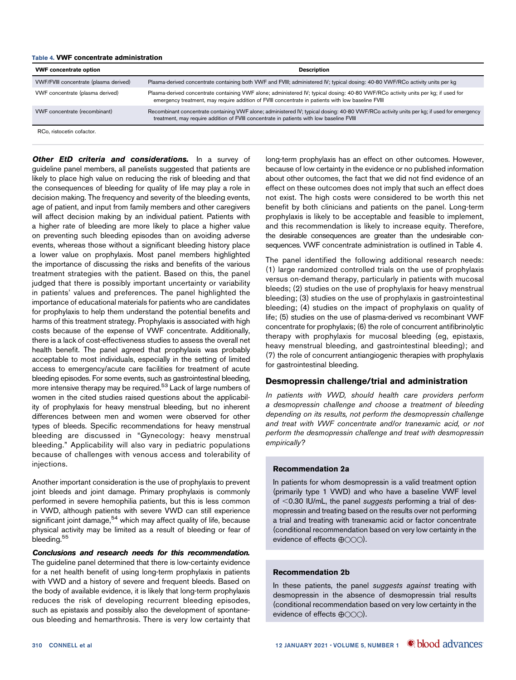#### <span id="page-9-0"></span>Table 4. VWF concentrate administration

| <b>VWF concentrate option</b>          | <b>Description</b>                                                                                                                                                                                                                       |
|----------------------------------------|------------------------------------------------------------------------------------------------------------------------------------------------------------------------------------------------------------------------------------------|
| VWF/FVIII concentrate (plasma derived) | Plasma-derived concentrate containing both VWF and FVIII; administered IV; typical dosing: 40-80 VWF/RCo activity units per kg                                                                                                           |
| VWF concentrate (plasma derived)       | Plasma-derived concentrate containing VWF alone; administered IV; typical dosing: 40-80 VWF/RCo activity units per kg; if used for<br>emergency treatment, may require addition of FVIII concentrate in patients with low baseline FVIII |
| VWF concentrate (recombinant)          | Recombinant concentrate containing VWF alone; administered IV; typical dosing: 40-80 VWF/RCo activity units per kg; if used for emergency<br>treatment, may require addition of FVIII concentrate in patients with low baseline FVIII    |
| RCo, ristocetin cofactor.              |                                                                                                                                                                                                                                          |

Other EtD criteria and considerations. In a survey of guideline panel members, all panelists suggested that patients are likely to place high value on reducing the risk of bleeding and that the consequences of bleeding for quality of life may play a role in decision making. The frequency and severity of the bleeding events, age of patient, and input from family members and other caregivers will affect decision making by an individual patient. Patients with a higher rate of bleeding are more likely to place a higher value on preventing such bleeding episodes than on avoiding adverse events, whereas those without a significant bleeding history place a lower value on prophylaxis. Most panel members highlighted the importance of discussing the risks and benefits of the various treatment strategies with the patient. Based on this, the panel judged that there is possibly important uncertainty or variability in patients' values and preferences. The panel highlighted the importance of educational materials for patients who are candidates for prophylaxis to help them understand the potential benefits and harms of this treatment strategy. Prophylaxis is associated with high costs because of the expense of VWF concentrate. Additionally, there is a lack of cost-effectiveness studies to assess the overall net health benefit. The panel agreed that prophylaxis was probably acceptable to most individuals, especially in the setting of limited access to emergency/acute care facilities for treatment of acute bleeding episodes. For some events, such as gastrointestinal bleeding, more intensive therapy may be required.<sup>53</sup> Lack of large numbers of women in the cited studies raised questions about the applicability of prophylaxis for heavy menstrual bleeding, but no inherent differences between men and women were observed for other types of bleeds. Specific recommendations for heavy menstrual bleeding are discussed in "Gynecology: heavy menstrual bleeding." Applicability will also vary in pediatric populations because of challenges with venous access and tolerability of injections.

Another important consideration is the use of prophylaxis to prevent joint bleeds and joint damage. Primary prophylaxis is commonly performed in severe hemophilia patients, but this is less common in VWD, although patients with severe VWD can still experience significant joint damage,<sup>54</sup> which may affect quality of life, because physical activity may be limited as a result of bleeding or fear of bleeding.<sup>55</sup>

Conclusions and research needs for this recommendation. The guideline panel determined that there is low-certainty evidence for a net health benefit of using long-term prophylaxis in patients with VWD and a history of severe and frequent bleeds. Based on the body of available evidence, it is likely that long-term prophylaxis reduces the risk of developing recurrent bleeding episodes, such as epistaxis and possibly also the development of spontaneous bleeding and hemarthrosis. There is very low certainty that long-term prophylaxis has an effect on other outcomes. However, because of low certainty in the evidence or no published information about other outcomes, the fact that we did not find evidence of an effect on these outcomes does not imply that such an effect does not exist. The high costs were considered to be worth this net benefit by both clinicians and patients on the panel. Long-term prophylaxis is likely to be acceptable and feasible to implement, and this recommendation is likely to increase equity. Therefore, the desirable consequences are greater than the undesirable consequences. VWF concentrate administration is outlined in Table 4.

The panel identified the following additional research needs: (1) large randomized controlled trials on the use of prophylaxis versus on-demand therapy, particularly in patients with mucosal bleeds; (2) studies on the use of prophylaxis for heavy menstrual bleeding; (3) studies on the use of prophylaxis in gastrointestinal bleeding; (4) studies on the impact of prophylaxis on quality of life; (5) studies on the use of plasma-derived vs recombinant VWF concentrate for prophylaxis; (6) the role of concurrent antifibrinolytic therapy with prophylaxis for mucosal bleeding (eg, epistaxis, heavy menstrual bleeding, and gastrointestinal bleeding); and (7) the role of concurrent antiangiogenic therapies with prophylaxis for gastrointestinal bleeding.

#### Desmopressin challenge/trial and administration

In patients with VWD, should health care providers perform a desmopressin challenge and choose a treatment of bleeding depending on its results, not perform the desmopressin challenge and treat with VWF concentrate and/or tranexamic acid, or not perform the desmopressin challenge and treat with desmopressin empirically?

#### Recommendation 2a

In patients for whom desmopressin is a valid treatment option (primarily type 1 VWD) and who have a baseline VWF level of  $<$  0.30 IU/mL, the panel suggests performing a trial of desmopressin and treating based on the results over not performing a trial and treating with tranexamic acid or factor concentrate (conditional recommendation based on very low certainty in the evidence of effects ⊕○○○

#### Recommendation 2b

In these patients, the panel suggests against treating with desmopressin in the absence of desmopressin trial results (conditional recommendation based on very low certainty in the evidence of effects ⊕◯◯◯).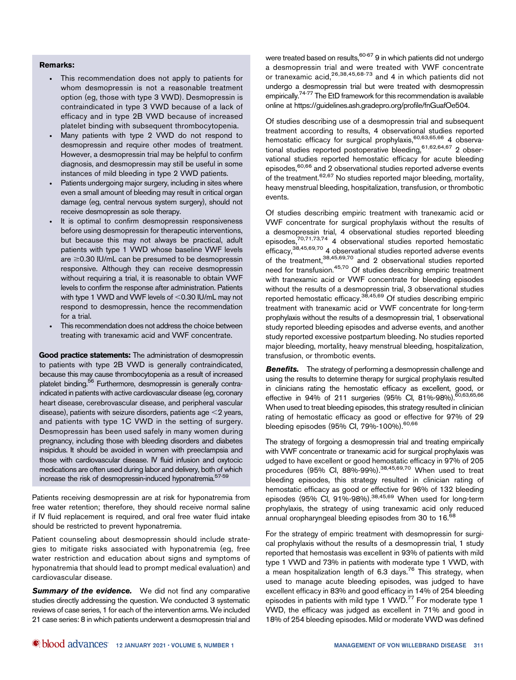### Remarks:

- This recommendation does not apply to patients for whom desmopressin is not a reasonable treatment option (eg, those with type 3 VWD). Desmopressin is contraindicated in type 3 VWD because of a lack of efficacy and in type 2B VWD because of increased platelet binding with subsequent thrombocytopenia.
- Many patients with type 2 VWD do not respond to desmopressin and require other modes of treatment. However, a desmopressin trial may be helpful to confirm diagnosis, and desmopressin may still be useful in some instances of mild bleeding in type 2 VWD patients.
- Patients undergoing major surgery, including in sites where even a small amount of bleeding may result in critical organ damage (eg, central nervous system surgery), should not receive desmopressin as sole therapy.
- It is optimal to confirm desmopressin responsiveness before using desmopressin for therapeutic interventions, but because this may not always be practical, adult patients with type 1 VWD whose baseline VWF levels are  $\geq$ 0.30 IU/mL can be presumed to be desmopressin responsive. Although they can receive desmopressin without requiring a trial, it is reasonable to obtain VWF levels to confirm the response after administration. Patients with type 1 VWD and VWF levels of  $<$  0.30 IU/mL may not respond to desmopressin, hence the recommendation for a trial.
- This recommendation does not address the choice between treating with tranexamic acid and VWF concentrate.

Good practice statements: The administration of desmopressin to patients with type 2B VWD is generally contraindicated, because this may cause thrombocytopenia as a result of increased platelet binding.<sup>56</sup> Furthermore, desmopressin is generally contraindicated in patients with active cardiovascular disease (eg, coronary heart disease, cerebrovascular disease, and peripheral vascular disease), patients with seizure disorders, patients age  $<$  2 years, and patients with type 1C VWD in the setting of surgery. Desmopressin has been used safely in many women during pregnancy, including those with bleeding disorders and diabetes insipidus. It should be avoided in women with preeclampsia and those with cardiovascular disease. IV fluid infusion and oxytocic medications are often used during labor and delivery, both of which increase the risk of desmopressin-induced hyponatremia.<sup>57-59</sup>

Patients receiving desmopressin are at risk for hyponatremia from free water retention; therefore, they should receive normal saline if IV fluid replacement is required, and oral free water fluid intake should be restricted to prevent hyponatremia.

Patient counseling about desmopressin should include strategies to mitigate risks associated with hyponatremia (eg, free water restriction and education about signs and symptoms of hyponatremia that should lead to prompt medical evaluation) and cardiovascular disease.

**Summary of the evidence.** We did not find any comparative studies directly addressing the question. We conducted 3 systematic reviews of case series, 1 for each of the intervention arms. We included 21 case series: 8 in which patients underwent a desmopressin trial and were treated based on results, <sup>60-67</sup> 9 in which patients did not undergo a desmopressin trial and were treated with VWF concentrate or tranexamic acid,26,38,45,68-73 and 4 in which patients did not undergo a desmopressin trial but were treated with desmopressin empirically.<sup>74-77</sup> The EtD framework for this recommendation is available online at [https://guidelines.ash.gradepro.org/profile/fnGuafOe504.](https://guidelines.ash.gradepro.org/profile/fnGuafOe504)

Of studies describing use of a desmopressin trial and subsequent treatment according to results, 4 observational studies reported hemostatic efficacy for surgical prophylaxis,<sup>60,63,65,66</sup> 4 observational studies reported postoperative bleeding, <sup>61,62,64,67</sup> 2 observational studies reported hemostatic efficacy for acute bleeding episodes, <sup>60,66</sup> and 2 observational studies reported adverse events of the treatment.62,67 No studies reported major bleeding, mortality, heavy menstrual bleeding, hospitalization, transfusion, or thrombotic events.

Of studies describing empiric treatment with tranexamic acid or VWF concentrate for surgical prophylaxis without the results of a desmopressin trial, 4 observational studies reported bleeding episodes,<sup>70,71,73,74</sup> 4 observational studies reported hemostatic efficacy,38,45,69,70 4 observational studies reported adverse events of the treatment,38,45,69,70 and 2 observational studies reported need for transfusion.45,70 Of studies describing empiric treatment with tranexamic acid or VWF concentrate for bleeding episodes without the results of a desmopressin trial, 3 observational studies reported hemostatic efficacy.<sup>38,45,69</sup> Of studies describing empiric treatment with tranexamic acid or VWF concentrate for long-term prophylaxis without the results of a desmopressin trial, 1 observational study reported bleeding episodes and adverse events, and another study reported excessive postpartum bleeding. No studies reported major bleeding, mortality, heavy menstrual bleeding, hospitalization, transfusion, or thrombotic events.

**Benefits.** The strategy of performing a desmopressin challenge and using the results to determine therapy for surgical prophylaxis resulted in clinicians rating the hemostatic efficacy as excellent, good, or effective in 94% of 211 surgeries (95% Cl, 81%-98%).<sup>60,63,65,66</sup> When used to treat bleeding episodes, this strategy resulted in clinician rating of hemostatic efficacy as good or effective for 97% of 29 bleeding episodes (95% CI, 79%-100%). 60,66

The strategy of forgoing a desmopressin trial and treating empirically with VWF concentrate or tranexamic acid for surgical prophylaxis was udged to have excellent or good hemostatic efficacy in 97% of 205 procedures (95% Cl, 88%-99%).<sup>38,45,69,70</sup> When used to treat bleeding episodes, this strategy resulted in clinician rating of hemostatic efficacy as good or effective for 96% of 132 bleeding episodes (95% CI, 91%-98%).<sup>38,45,69</sup> When used for long-term prophylaxis, the strategy of using tranexamic acid only reduced annual oropharyngeal bleeding episodes from 30 to  $16<sup>6</sup>$ 

For the strategy of empiric treatment with desmopressin for surgical prophylaxis without the results of a desmopressin trial, 1 study reported that hemostasis was excellent in 93% of patients with mild type 1 VWD and 73% in patients with moderate type 1 VWD, with a mean hospitalization length of 6.3 days.<sup>76</sup> This strategy, when used to manage acute bleeding episodes, was judged to have excellent efficacy in 83% and good efficacy in 14% of 254 bleeding episodes in patients with mild type 1 VWD.<sup>77</sup> For moderate type 1 VWD, the efficacy was judged as excellent in 71% and good in 18% of 254 bleeding episodes. Mild or moderate VWD was defined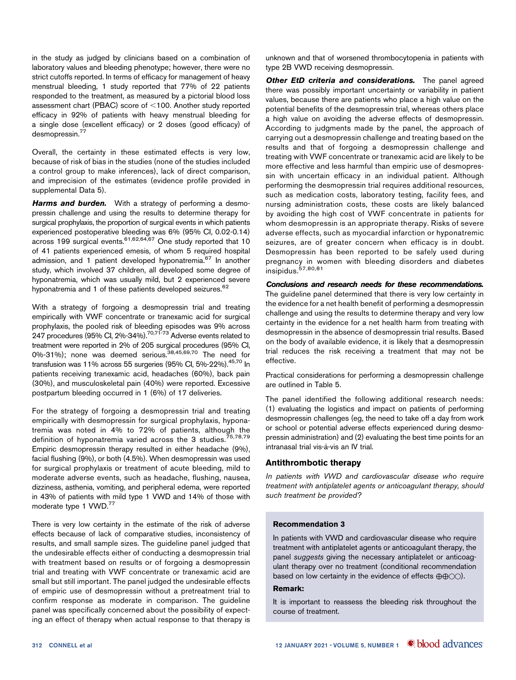<span id="page-11-0"></span>in the study as judged by clinicians based on a combination of laboratory values and bleeding phenotype; however, there were no strict cutoffs reported. In terms of efficacy for management of heavy menstrual bleeding, 1 study reported that 77% of 22 patients responded to the treatment, as measured by a pictorial blood loss assessment chart (PBAC) score of  $<$ 100. Another study reported efficacy in 92% of patients with heavy menstrual bleeding for a single dose (excellent efficacy) or 2 doses (good efficacy) of desmopressin.<sup>77</sup>

Overall, the certainty in these estimated effects is very low, because of risk of bias in the studies (none of the studies included a control group to make inferences), lack of direct comparison, and imprecision of the estimates (evidence profile provided in supplemental Data 5).

Harms and burden. With a strategy of performing a desmopressin challenge and using the results to determine therapy for surgical prophylaxis, the proportion of surgical events in which patients experienced postoperative bleeding was 6% (95% CI, 0.02-0.14) across 199 surgical events.61,62,64,67 One study reported that 10 of 41 patients experienced emesis, of whom 5 required hospital admission, and 1 patient developed hyponatremia.<sup>67</sup> In another study, which involved 37 children, all developed some degree of hyponatremia, which was usually mild, but 2 experienced severe hyponatremia and 1 of these patients developed seizures.<sup>62</sup>

With a strategy of forgoing a desmopressin trial and treating empirically with VWF concentrate or tranexamic acid for surgical prophylaxis, the pooled risk of bleeding episodes was 9% across 247 procedures (95% CI, 2%-34%).70,71-73 Adverse events related to treatment were reported in 2% of 205 surgical procedures (95% CI, 0%-31%); none was deemed serious.<sup>38,45,69,70</sup> The need for transfusion was 11% across 55 surgeries (95% Cl, 5%-22%).<sup>45,70</sup> In patients receiving tranexamic acid, headaches (60%), back pain (30%), and musculoskeletal pain (40%) were reported. Excessive postpartum bleeding occurred in 1 (6%) of 17 deliveries.

For the strategy of forgoing a desmopressin trial and treating empirically with desmopressin for surgical prophylaxis, hyponatremia was noted in 4% to 72% of patients, although the definition of hyponatremia varied across the 3 studies.<sup>75,78,79</sup> Empiric desmopressin therapy resulted in either headache (9%), facial flushing (9%), or both (4.5%). When desmopressin was used for surgical prophylaxis or treatment of acute bleeding, mild to moderate adverse events, such as headache, flushing, nausea, dizziness, asthenia, vomiting, and peripheral edema, were reported in 43% of patients with mild type 1 VWD and 14% of those with moderate type 1 VWD.<sup>77</sup>

There is very low certainty in the estimate of the risk of adverse effects because of lack of comparative studies, inconsistency of results, and small sample sizes. The guideline panel judged that the undesirable effects either of conducting a desmopressin trial with treatment based on results or of forgoing a desmopressin trial and treating with VWF concentrate or tranexamic acid are small but still important. The panel judged the undesirable effects of empiric use of desmopressin without a pretreatment trial to confirm response as moderate in comparison. The guideline panel was specifically concerned about the possibility of expecting an effect of therapy when actual response to that therapy is unknown and that of worsened thrombocytopenia in patients with type 2B VWD receiving desmopressin.

Other EtD criteria and considerations. The panel agreed there was possibly important uncertainty or variability in patient values, because there are patients who place a high value on the potential benefits of the desmopressin trial, whereas others place a high value on avoiding the adverse effects of desmopressin. According to judgments made by the panel, the approach of carrying out a desmopressin challenge and treating based on the results and that of forgoing a desmopressin challenge and treating with VWF concentrate or tranexamic acid are likely to be more effective and less harmful than empiric use of desmopressin with uncertain efficacy in an individual patient. Although performing the desmopressin trial requires additional resources, such as medication costs, laboratory testing, facility fees, and nursing administration costs, these costs are likely balanced by avoiding the high cost of VWF concentrate in patients for whom desmopressin is an appropriate therapy. Risks of severe adverse effects, such as myocardial infarction or hyponatremic seizures, are of greater concern when efficacy is in doubt. Desmopressin has been reported to be safely used during pregnancy in women with bleeding disorders and diabetes insipidus.<sup>57,80,81</sup>

Conclusions and research needs for these recommendations.

The guideline panel determined that there is very low certainty in the evidence for a net health benefit of performing a desmopressin challenge and using the results to determine therapy and very low certainty in the evidence for a net health harm from treating with desmopressin in the absence of desmopressin trial results. Based on the body of available evidence, it is likely that a desmopressin trial reduces the risk receiving a treatment that may not be effective.

Practical considerations for performing a desmopressin challenge are outlined in Table 5.

The panel identified the following additional research needs: (1) evaluating the logistics and impact on patients of performing desmopressin challenges (eg, the need to take off a day from work or school or potential adverse effects experienced during desmopressin administration) and (2) evaluating the best time points for an intranasal trial vis-à-vis an IV trial.

#### Antithrombotic therapy

In patients with VWD and cardiovascular disease who require treatment with antiplatelet agents or anticoagulant therapy, should such treatment be provided?

#### Recommendation 3

In patients with VWD and cardiovascular disease who require treatment with antiplatelet agents or anticoagulant therapy, the panel suggests giving the necessary antiplatelet or anticoagulant therapy over no treatment (conditional recommendation based on low certainty in the evidence of effects ⊕⊕◯◯).

#### Remark:

It is important to reassess the bleeding risk throughout the course of treatment.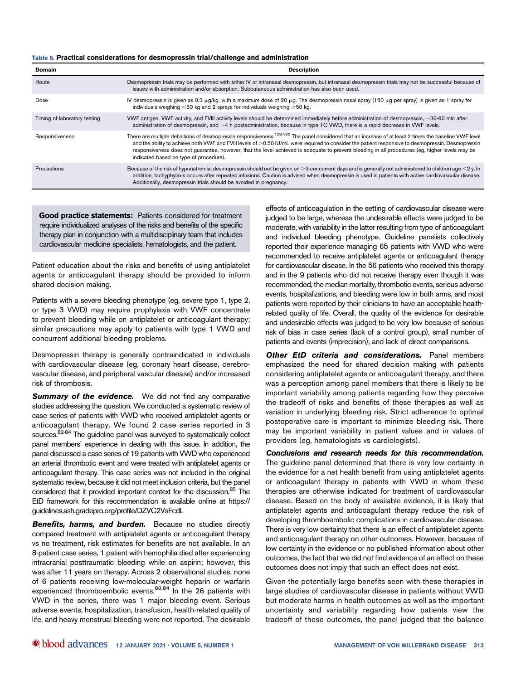#### Table 5. Practical considerations for desmopressin trial/challenge and administration

| <b>Domain</b>                | <b>Description</b>                                                                                                                                                                                                                                                                                                                                                                                                                                                                                                    |
|------------------------------|-----------------------------------------------------------------------------------------------------------------------------------------------------------------------------------------------------------------------------------------------------------------------------------------------------------------------------------------------------------------------------------------------------------------------------------------------------------------------------------------------------------------------|
| Route                        | Desmopressin trials may be performed with either IV or intranasal desmopressin, but intranasal desmopressin trials may not be successful because of<br>issues with administration and/or absorption. Subcutaneous administration has also been used.                                                                                                                                                                                                                                                                  |
| Dose                         | IV desmopressin is given as 0.3 $\mu$ g/kg, with a maximum dose of 20 $\mu$ g. The desmopressin nasal spray (150 $\mu$ g per spray) is given as 1 spray for<br>individuals weighing $\leq$ 50 kg and 2 sprays for individuals weighing $\geq$ 50 kg.                                                                                                                                                                                                                                                                  |
| Timing of laboratory testing | VWF antigen, VWF activity, and FVIII activity levels should be determined immediately before administration of desmopressin, ~30-60 min after<br>administration of desmopressin, and $\sim$ 4 h postadministration, because in type 1C VWD, there is a rapid decrease in VWF levels.                                                                                                                                                                                                                                  |
| Responsiveness               | There are multiple definitions of desmopressin responsiveness. <sup>128-130</sup> The panel considered that an increase of at least 2 times the baseline VWF level<br>and the ability to achieve both VWF and FVIII levels of >0.50 IU/mL were required to consider the patient responsive to desmopressin. Desmopressin<br>responsiveness does not guarantee, however, that the level achieved is adequate to prevent bleeding in all procedures (eg, higher levels may be<br>indicated based on type of procedure). |
| <b>Precautions</b>           | Because of the risk of hyponatremia, desmopressin should not be given on >3 concurrent days and is generally not administered to children age <2 y. In<br>addition, tachyphylaxis occurs after repeated infusions. Caution is advised when desmopressin is used in patients with active cardiovascular disease.<br>Additionally, desmopressin trials should be avoided in pregnancy.                                                                                                                                  |

Good practice statements: Patients considered for treatment require individualized analyses of the risks and benefits of the specific therapy plan in conjunction with a multidisciplinary team that includes cardiovascular medicine specialists, hematologists, and the patient.

Patient education about the risks and benefits of using antiplatelet agents or anticoagulant therapy should be provided to inform shared decision making.

Patients with a severe bleeding phenotype (eg, severe type 1, type 2, or type 3 VWD) may require prophylaxis with VWF concentrate to prevent bleeding while on antiplatelet or anticoagulant therapy; similar precautions may apply to patients with type 1 VWD and concurrent additional bleeding problems.

Desmopressin therapy is generally contraindicated in individuals with cardiovascular disease (eg, coronary heart disease, cerebrovascular disease, and peripheral vascular disease) and/or increased risk of thrombosis.

**Summary of the evidence.** We did not find any comparative studies addressing the question. We conducted a systematic review of case series of patients with VWD who received antiplatelet agents or anticoagulant therapy. We found 2 case series reported in 3 sources.<sup>82-84</sup> The guideline panel was surveyed to systematically collect panel members' experience in dealing with this issue. In addition, the panel discussed a case series of 19 patients with VWD who experienced an arterial thrombotic event and were treated with antiplatelet agents or anticoagulant therapy. This case series was not included in the original systematic review, because it did not meet inclusion criteria, but the panel considered that it provided important context for the discussion.<sup>85</sup> The EtD framework for this recommendation is available online at [https://](https://guidelines.ash.gradepro.org/profile/DZVC2VsFcdI) [guidelines.ash.gradepro.org/profile/DZVC2VsFcdI.](https://guidelines.ash.gradepro.org/profile/DZVC2VsFcdI)

Benefits, harms, and burden. Because no studies directly compared treatment with antiplatelet agents or anticoagulant therapy vs no treatment, risk estimates for benefits are not available. In an 8-patient case series, 1 patient with hemophilia died after experiencing intracranial posttraumatic bleeding while on aspirin; however, this was after 11 years on therapy. Across 2 observational studies, none of 6 patients receiving low-molecular-weight heparin or warfarin experienced thromboembolic events.<sup>83,84</sup> In the 26 patients with VWD in the series, there was 1 major bleeding event. Serious adverse events, hospitalization, transfusion, health-related quality of life, and heavy menstrual bleeding were not reported. The desirable effects of anticoagulation in the setting of cardiovascular disease were judged to be large, whereas the undesirable effects were judged to be moderate, with variability in the latter resulting from type of anticoagulant and individual bleeding phenotype. Guideline panelists collectively reported their experience managing 65 patients with VWD who were recommended to receive antiplatelet agents or anticoagulant therapy for cardiovascular disease. In the 56 patients who received this therapy and in the 9 patients who did not receive therapy even though it was recommended, the median mortality, thrombotic events, serious adverse events, hospitalizations, and bleeding were low in both arms, and most patients were reported by their clinicians to have an acceptable healthrelated quality of life. Overall, the quality of the evidence for desirable and undesirable effects was judged to be very low because of serious risk of bias in case series (lack of a control group), small number of patients and events (imprecision), and lack of direct comparisons.

Other EtD criteria and considerations. Panel members emphasized the need for shared decision making with patients considering antiplatelet agents or anticoagulant therapy, and there was a perception among panel members that there is likely to be important variability among patients regarding how they perceive the tradeoff of risks and benefits of these therapies as well as variation in underlying bleeding risk. Strict adherence to optimal postoperative care is important to minimize bleeding risk. There may be important variability in patient values and in values of providers (eg, hematologists vs cardiologists).

Conclusions and research needs for this recommendation. The guideline panel determined that there is very low certainty in the evidence for a net health benefit from using antiplatelet agents or anticoagulant therapy in patients with VWD in whom these therapies are otherwise indicated for treatment of cardiovascular disease. Based on the body of available evidence, it is likely that antiplatelet agents and anticoagulant therapy reduce the risk of developing thromboembolic complications in cardiovascular disease. There is very low certainty that there is an effect of antiplatelet agents and anticoagulant therapy on other outcomes. However, because of low certainty in the evidence or no published information about other outcomes, the fact that we did not find evidence of an effect on these outcomes does not imply that such an effect does not exist.

Given the potentially large benefits seen with these therapies in large studies of cardiovascular disease in patients without VWD but moderate harms in health outcomes as well as the important uncertainty and variability regarding how patients view the tradeoff of these outcomes, the panel judged that the balance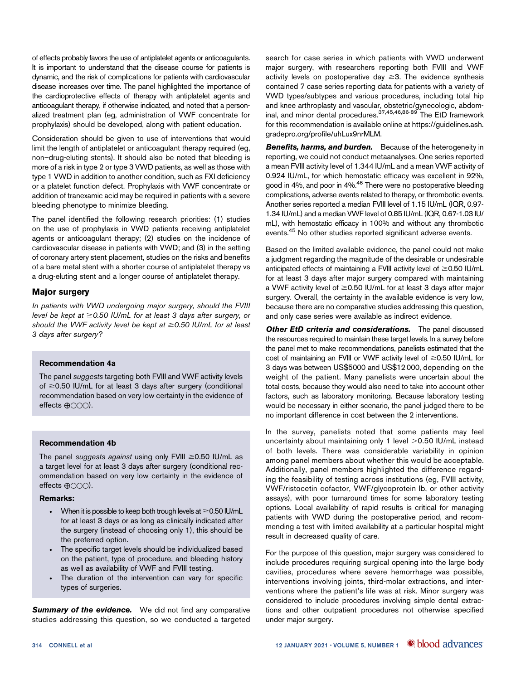<span id="page-13-0"></span>of effects probably favors the use of antiplatelet agents or anticoagulants. It is important to understand that the disease course for patients is dynamic, and the risk of complications for patients with cardiovascular disease increases over time. The panel highlighted the importance of the cardioprotective effects of therapy with antiplatelet agents and anticoagulant therapy, if otherwise indicated, and noted that a personalized treatment plan (eg, administration of VWF concentrate for prophylaxis) should be developed, along with patient education.

Consideration should be given to use of interventions that would limit the length of antiplatelet or anticoagulant therapy required (eg, non–drug-eluting stents). It should also be noted that bleeding is more of a risk in type 2 or type 3 VWD patients, as well as those with type 1 VWD in addition to another condition, such as FXI deficiency or a platelet function defect. Prophylaxis with VWF concentrate or addition of tranexamic acid may be required in patients with a severe bleeding phenotype to minimize bleeding.

The panel identified the following research priorities: (1) studies on the use of prophylaxis in VWD patients receiving antiplatelet agents or anticoagulant therapy; (2) studies on the incidence of cardiovascular disease in patients with VWD; and (3) in the setting of coronary artery stent placement, studies on the risks and benefits of a bare metal stent with a shorter course of antiplatelet therapy vs a drug-eluting stent and a longer course of antiplatelet therapy.

### Major surgery

In patients with VWD undergoing major surgery, should the FVIII level be kept at  $\geq$  0.50 IU/mL for at least 3 days after surgery, or should the VWF activity level be kept at  $\geq$ 0.50 IU/mL for at least 3 days after surgery?

### Recommendation 4a

The panel suggests targeting both FVIII and VWF activity levels of  $\geq$ 0.50 IU/mL for at least 3 days after surgery (conditional recommendation based on very low certainty in the evidence of effects ⊕○○○).

#### Recommendation 4b

The panel suggests against using only FVIII  $\geq$ 0.50 IU/mL as a target level for at least 3 days after surgery (conditional recommendation based on very low certainty in the evidence of effects ⊕ $\cap$ 

# Remarks:

- When it is possible to keep both trough levels at  $\geq$  0.50 IU/mL for at least 3 days or as long as clinically indicated after the surgery (instead of choosing only 1), this should be the preferred option.
- The specific target levels should be individualized based on the patient, type of procedure, and bleeding history as well as availability of VWF and FVIII testing.
- The duration of the intervention can vary for specific types of surgeries.

**Summary of the evidence.** We did not find any comparative studies addressing this question, so we conducted a targeted search for case series in which patients with VWD underwent major surgery, with researchers reporting both FVIII and VWF activity levels on postoperative day  $\geq$ 3. The evidence synthesis contained 7 case series reporting data for patients with a variety of VWD types/subtypes and various procedures, including total hip and knee arthroplasty and vascular, obstetric/gynecologic, abdominal, and minor dental procedures.<sup>37,45,46,86-89</sup> The EtD framework for this recommendation is available online at [https://guidelines.ash.](https://guidelines.ash.gradepro.org/profile/uhLux9nrMLM) [gradepro.org/profile/uhLux9nrMLM.](https://guidelines.ash.gradepro.org/profile/uhLux9nrMLM)

Benefits, harms, and burden. Because of the heterogeneity in reporting, we could not conduct metaanalyses. One series reported a mean FVIII activity level of 1.344 IU/mL and a mean VWF activity of 0.924 IU/mL, for which hemostatic efficacy was excellent in 92%, good in 4%, and poor in 4%.<sup>46</sup> There were no postoperative bleeding complications, adverse events related to therapy, or thrombotic events. Another series reported a median FVIII level of 1.15 IU/mL (IQR, 0.97- 1.34 IU/mL) and a median VWF level of 0.85 IU/mL (IQR, 0.67-1.03 IU/ mL), with hemostatic efficacy in 100% and without any thrombotic events.<sup>45</sup> No other studies reported significant adverse events.

Based on the limited available evidence, the panel could not make a judgment regarding the magnitude of the desirable or undesirable anticipated effects of maintaining a FVIII activity level of  $\geq$ 0.50 IU/mL for at least 3 days after major surgery compared with maintaining a VWF activity level of  $\geq$ 0.50 IU/mL for at least 3 days after major surgery. Overall, the certainty in the available evidence is very low, because there are no comparative studies addressing this question, and only case series were available as indirect evidence.

Other EtD criteria and considerations. The panel discussed the resources required to maintain these target levels. In a survey before the panel met to make recommendations, panelists estimated that the cost of maintaining an FVIII or VWF activity level of  $\geq$ 0.50 IU/mL for 3 days was between US\$5000 and US\$12 000, depending on the weight of the patient. Many panelists were uncertain about the total costs, because they would also need to take into account other factors, such as laboratory monitoring. Because laboratory testing would be necessary in either scenario, the panel judged there to be no important difference in cost between the 2 interventions.

In the survey, panelists noted that some patients may feel uncertainty about maintaining only 1 level  $>0.50$  IU/mL instead of both levels. There was considerable variability in opinion among panel members about whether this would be acceptable. Additionally, panel members highlighted the difference regarding the feasibility of testing across institutions (eg, FVIII activity, VWF/ristocetin cofactor, VWF/glycoprotein Ib, or other activity assays), with poor turnaround times for some laboratory testing options. Local availability of rapid results is critical for managing patients with VWD during the postoperative period, and recommending a test with limited availability at a particular hospital might result in decreased quality of care.

For the purpose of this question, major surgery was considered to include procedures requiring surgical opening into the large body cavities, procedures where severe hemorrhage was possible, interventions involving joints, third-molar extractions, and interventions where the patient's life was at risk. Minor surgery was considered to include procedures involving simple dental extractions and other outpatient procedures not otherwise specified under major surgery.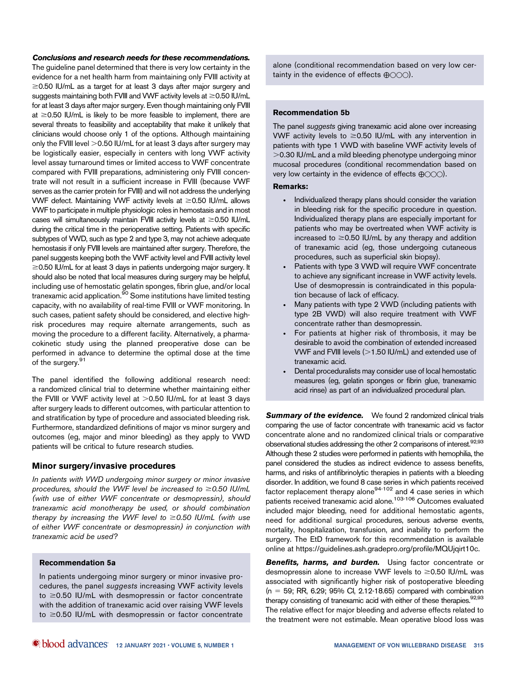<span id="page-14-0"></span>Conclusions and research needs for these recommendations. The guideline panel determined that there is very low certainty in the evidence for a net health harm from maintaining only FVIII activity at  $\geq$  0.50 IU/mL as a target for at least 3 days after major surgery and suggests maintaining both FVIII and VWF activity levels at  $\geq$ 0.50 IU/mL for at least 3 days after major surgery. Even though maintaining only FVIII at  $\geq$ 0.50 IU/mL is likely to be more feasible to implement, there are several threats to feasibility and acceptability that make it unlikely that clinicians would choose only 1 of the options. Although maintaining only the FVIII level  $>$  0.50 IU/mL for at least 3 days after surgery may be logistically easier, especially in centers with long VWF activity level assay turnaround times or limited access to VWF concentrate compared with FVIII preparations, administering only FVIII concentrate will not result in a sufficient increase in FVIII (because VWF serves as the carrier protein for FVIII) and will not address the underlying VWF defect. Maintaining VWF activity levels at  $\geq$ 0.50 IU/mL allows VWF to participate in multiple physiologic roles in hemostasis and in most cases will simultaneously maintain FVIII activity levels at  $\geq$  0.50 IU/mL during the critical time in the perioperative setting. Patients with specific subtypes of VWD, such as type 2 and type 3, may not achieve adequate hemostasis if only FVIII levels are maintained after surgery. Therefore, the panel suggests keeping both the VWF activity level and FVIII activity level  $\geq$  0.50 IU/mL for at least 3 days in patients undergoing major surgery. It should also be noted that local measures during surgery may be helpful, including use of hemostatic gelatin sponges, fibrin glue, and/or local tranexamic acid application.<sup>90</sup> Some institutions have limited testing capacity, with no availability of real-time FVIII or VWF monitoring. In such cases, patient safety should be considered, and elective highrisk procedures may require alternate arrangements, such as moving the procedure to a different facility. Alternatively, a pharmacokinetic study using the planned preoperative dose can be performed in advance to determine the optimal dose at the time of the surgery.<sup>91</sup>

The panel identified the following additional research need: a randomized clinical trial to determine whether maintaining either the FVIII or VWF activity level at  $>0.50$  IU/mL for at least 3 days after surgery leads to different outcomes, with particular attention to and stratification by type of procedure and associated bleeding risk. Furthermore, standardized definitions of major vs minor surgery and outcomes (eg, major and minor bleeding) as they apply to VWD patients will be critical to future research studies.

# Minor surgery/invasive procedures

In patients with VWD undergoing minor surgery or minor invasive procedures, should the VWF level be increased to  $\geq$ 0.50 IU/mL (with use of either VWF concentrate or desmopressin), should tranexamic acid monotherapy be used, or should combination therapy by increasing the VWF level to  $\geq$ 0.50 IU/mL (with use of either VWF concentrate or desmopressin) in conjunction with tranexamic acid be used?

# Recommendation 5a

In patients undergoing minor surgery or minor invasive procedures, the panel suggests increasing VWF activity levels to  $\geq$ 0.50 IU/mL with desmopressin or factor concentrate with the addition of tranexamic acid over raising VWF levels to  $\geq$ 0.50 IU/mL with desmopressin or factor concentrate alone (conditional recommendation based on very low certainty in the evidence of effects ⊕○○○).

### Recommendation 5b

The panel suggests giving tranexamic acid alone over increasing VWF activity levels to  $\geq$ 0.50 IU/mL with any intervention in patients with type 1 VWD with baseline VWF activity levels of >0.30 IU/mL and a mild bleeding phenotype undergoing minor mucosal procedures (conditional recommendation based on very low certainty in the evidence of effects ⊕○○○).

### Remarks:

- <sup>c</sup> Individualized therapy plans should consider the variation in bleeding risk for the specific procedure in question. Individualized therapy plans are especially important for patients who may be overtreated when VWF activity is increased to  $\geq$ 0.50 IU/mL by any therapy and addition of tranexamic acid (eg, those undergoing cutaneous procedures, such as superficial skin biopsy).
- Patients with type 3 VWD will require VWF concentrate to achieve any significant increase in VWF activity levels. Use of desmopressin is contraindicated in this population because of lack of efficacy.
- Many patients with type 2 VWD (including patients with type 2B VWD) will also require treatment with VWF concentrate rather than desmopressin.
- For patients at higher risk of thrombosis, it may be desirable to avoid the combination of extended increased VWF and FVIII levels  $(>1.50$  IU/mL) and extended use of tranexamic acid.
- Dental proceduralists may consider use of local hemostatic measures (eg, gelatin sponges or fibrin glue, tranexamic acid rinse) as part of an individualized procedural plan.

**Summary of the evidence.** We found 2 randomized clinical trials comparing the use of factor concentrate with tranexamic acid vs factor concentrate alone and no randomized clinical trials or comparative observational studies addressing the other 2 comparisons of interest.<sup>92,93</sup> Although these 2 studies were performed in patients with hemophilia, the panel considered the studies as indirect evidence to assess benefits, harms, and risks of antifibrinolytic therapies in patients with a bleeding disorder. In addition, we found 8 case series in which patients received factor replacement therapy alone<sup>94-102</sup> and 4 case series in which patients received tranexamic acid alone.<sup>103-106</sup> Outcomes evaluated included major bleeding, need for additional hemostatic agents, need for additional surgical procedures, serious adverse events, mortality, hospitalization, transfusion, and inability to perform the surgery. The EtD framework for this recommendation is available online at [https://guidelines.ash.gradepro.org/profile/MQUjqirt10c.](https://guidelines.ash.gradepro.org/profile/MQUjqirt10c)

Benefits, harms, and burden. Using factor concentrate or desmopressin alone to increase VWF levels to  $\geq$ 0.50 IU/mL was associated with significantly higher risk of postoperative bleeding  $(n = 59; RR, 6.29; 95% CI, 2.12-18.65)$  compared with combination therapy consisting of tranexamic acid with either of these therapies.<sup>92,93</sup> The relative effect for major bleeding and adverse effects related to the treatment were not estimable. Mean operative blood loss was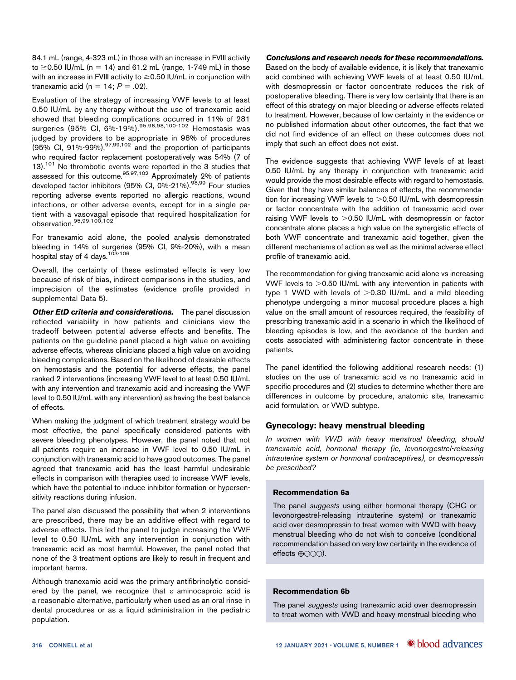<span id="page-15-0"></span>84.1 mL (range, 4-323 mL) in those with an increase in FVIII activity to  $\geq$  0.50 IU/mL (n = 14) and 61.2 mL (range, 1-749 mL) in those with an increase in FVIII activity to  $\geq$  0.50 IU/mL in conjunction with tranexamic acid (n = 14;  $P = .02$ ).

Evaluation of the strategy of increasing VWF levels to at least 0.50 IU/mL by any therapy without the use of tranexamic acid showed that bleeding complications occurred in 11% of 281 surgeries (95% Cl, 6%-19%).<sup>95,96,98,100-102</sup> Hemostasis was judged by providers to be appropriate in 98% of procedures (95% CI, 91%-99%),<sup>97,99,102</sup> and the proportion of participants who required factor replacement postoperatively was 54% (7 of 13).<sup>101</sup> No thrombotic events were reported in the 3 studies that assessed for this outcome.95,97,102 Approximately 2% of patients developed factor inhibitors (95% CI, 0%-21%).<sup>98,99</sup> Four studies reporting adverse events reported no allergic reactions, wound infections, or other adverse events, except for in a single patient with a vasovagal episode that required hospitalization for observation.95,99,100,102

For tranexamic acid alone, the pooled analysis demonstrated bleeding in 14% of surgeries (95% CI, 9%-20%), with a mean hospital stay of 4 days.<sup>103-106</sup>

Overall, the certainty of these estimated effects is very low because of risk of bias, indirect comparisons in the studies, and imprecision of the estimates (evidence profile provided in supplemental Data 5).

Other EtD criteria and considerations. The panel discussion reflected variability in how patients and clinicians view the tradeoff between potential adverse effects and benefits. The patients on the guideline panel placed a high value on avoiding adverse effects, whereas clinicians placed a high value on avoiding bleeding complications. Based on the likelihood of desirable effects on hemostasis and the potential for adverse effects, the panel ranked 2 interventions (increasing VWF level to at least 0.50 IU/mL with any intervention and tranexamic acid and increasing the VWF level to 0.50 IU/mL with any intervention) as having the best balance of effects.

When making the judgment of which treatment strategy would be most effective, the panel specifically considered patients with severe bleeding phenotypes. However, the panel noted that not all patients require an increase in VWF level to 0.50 IU/mL in conjunction with tranexamic acid to have good outcomes. The panel agreed that tranexamic acid has the least harmful undesirable effects in comparison with therapies used to increase VWF levels, which have the potential to induce inhibitor formation or hypersensitivity reactions during infusion.

The panel also discussed the possibility that when 2 interventions are prescribed, there may be an additive effect with regard to adverse effects. This led the panel to judge increasing the VWF level to 0.50 IU/mL with any intervention in conjunction with tranexamic acid as most harmful. However, the panel noted that none of the 3 treatment options are likely to result in frequent and important harms.

Although tranexamic acid was the primary antifibrinolytic considered by the panel, we recognize that  $\varepsilon$  aminocaproic acid is a reasonable alternative, particularly when used as an oral rinse in dental procedures or as a liquid administration in the pediatric population.

#### Conclusions and research needs for these recommendations.

Based on the body of available evidence, it is likely that tranexamic acid combined with achieving VWF levels of at least 0.50 IU/mL with desmopressin or factor concentrate reduces the risk of postoperative bleeding. There is very low certainty that there is an effect of this strategy on major bleeding or adverse effects related to treatment. However, because of low certainty in the evidence or no published information about other outcomes, the fact that we did not find evidence of an effect on these outcomes does not imply that such an effect does not exist.

The evidence suggests that achieving VWF levels of at least 0.50 IU/mL by any therapy in conjunction with tranexamic acid would provide the most desirable effects with regard to hemostasis. Given that they have similar balances of effects, the recommendation for increasing VWF levels to  $>0.50$  IU/mL with desmopressin or factor concentrate with the addition of tranexamic acid over raising VWF levels to  $>0.50$  IU/mL with desmopressin or factor concentrate alone places a high value on the synergistic effects of both VWF concentrate and tranexamic acid together, given the different mechanisms of action as well as the minimal adverse effect profile of tranexamic acid.

The recommendation for giving tranexamic acid alone vs increasing VWF levels to  $>0.50$  IU/mL with any intervention in patients with type 1 VWD with levels of  $>0.30$  IU/mL and a mild bleeding phenotype undergoing a minor mucosal procedure places a high value on the small amount of resources required, the feasibility of prescribing tranexamic acid in a scenario in which the likelihood of bleeding episodes is low, and the avoidance of the burden and costs associated with administering factor concentrate in these patients.

The panel identified the following additional research needs: (1) studies on the use of tranexamic acid vs no tranexamic acid in specific procedures and (2) studies to determine whether there are differences in outcome by procedure, anatomic site, tranexamic acid formulation, or VWD subtype.

#### Gynecology: heavy menstrual bleeding

In women with VWD with heavy menstrual bleeding, should tranexamic acid, hormonal therapy (ie, levonorgestrel-releasing intrauterine system or hormonal contraceptives), or desmopressin be prescribed?

### Recommendation 6a

The panel suggests using either hormonal therapy (CHC or levonorgestrel-releasing intrauterine system) or tranexamic acid over desmopressin to treat women with VWD with heavy menstrual bleeding who do not wish to conceive (conditional recommendation based on very low certainty in the evidence of effects ⊕◯◯◯).

#### Recommendation 6b

The panel *suggests* using tranexamic acid over desmopressin to treat women with VWD and heavy menstrual bleeding who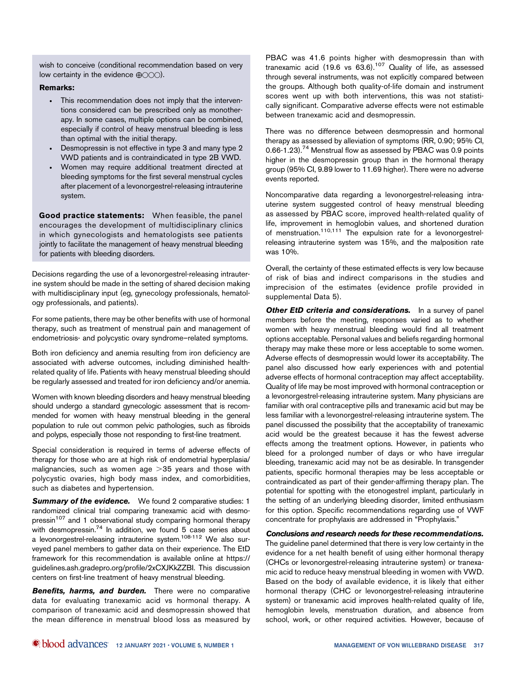wish to conceive (conditional recommendation based on very low certainty in the evidence ⊕◯◯◯).

#### Remarks:

- This recommendation does not imply that the interventions considered can be prescribed only as monotherapy. In some cases, multiple options can be combined, especially if control of heavy menstrual bleeding is less than optimal with the initial therapy.
- Desmopressin is not effective in type 3 and many type 2 VWD patients and is contraindicated in type 2B VWD.
- Women may require additional treatment directed at bleeding symptoms for the first several menstrual cycles after placement of a levonorgestrel-releasing intrauterine system.

Good practice statements: When feasible, the panel encourages the development of multidisciplinary clinics in which gynecologists and hematologists see patients jointly to facilitate the management of heavy menstrual bleeding for patients with bleeding disorders.

Decisions regarding the use of a levonorgestrel-releasing intrauterine system should be made in the setting of shared decision making with multidisciplinary input (eg, gynecology professionals, hematology professionals, and patients).

For some patients, there may be other benefits with use of hormonal therapy, such as treatment of menstrual pain and management of endometriosis- and polycystic ovary syndrome–related symptoms.

Both iron deficiency and anemia resulting from iron deficiency are associated with adverse outcomes, including diminished healthrelated quality of life. Patients with heavy menstrual bleeding should be regularly assessed and treated for iron deficiency and/or anemia.

Women with known bleeding disorders and heavy menstrual bleeding should undergo a standard gynecologic assessment that is recommended for women with heavy menstrual bleeding in the general population to rule out common pelvic pathologies, such as fibroids and polyps, especially those not responding to first-line treatment.

Special consideration is required in terms of adverse effects of therapy for those who are at high risk of endometrial hyperplasia/ malignancies, such as women age  $>35$  years and those with polycystic ovaries, high body mass index, and comorbidities, such as diabetes and hypertension.

Summary of the evidence. We found 2 comparative studies: 1 randomized clinical trial comparing tranexamic acid with desmopressin<sup>107</sup> and 1 observational study comparing hormonal therapy with desmopressin.<sup>74</sup> In addition, we found 5 case series about a levonorgestrel-releasing intrauterine system.108-112 We also surveyed panel members to gather data on their experience. The EtD framework for this recommendation is available online at [https://](https://guidelines.ash.gradepro.org/profile/2xCXJKkZZBI) [guidelines.ash.gradepro.org/profile/2xCXJKkZZBI.](https://guidelines.ash.gradepro.org/profile/2xCXJKkZZBI) This discussion centers on first-line treatment of heavy menstrual bleeding.

Benefits, harms, and burden. There were no comparative data for evaluating tranexamic acid vs hormonal therapy. A comparison of tranexamic acid and desmopressin showed that the mean difference in menstrual blood loss as measured by PBAC was 41.6 points higher with desmopressin than with tranexamic acid (19.6 vs  $63.6$ ).<sup>107</sup> Quality of life, as assessed through several instruments, was not explicitly compared between the groups. Although both quality-of-life domain and instrument scores went up with both interventions, this was not statistically significant. Comparative adverse effects were not estimable between tranexamic acid and desmopressin.

There was no difference between desmopressin and hormonal therapy as assessed by alleviation of symptoms (RR, 0.90; 95% CI, 0.66-1.23).<sup>74</sup> Menstrual flow as assessed by PBAC was 0.9 points higher in the desmopressin group than in the hormonal therapy group (95% CI, 9.89 lower to 11.69 higher). There were no adverse events reported.

Noncomparative data regarding a levonorgestrel-releasing intrauterine system suggested control of heavy menstrual bleeding as assessed by PBAC score, improved health-related quality of life, improvement in hemoglobin values, and shortened duration of menstruation.110,111 The expulsion rate for a levonorgestrelreleasing intrauterine system was 15%, and the malposition rate was 10%.

Overall, the certainty of these estimated effects is very low because of risk of bias and indirect comparisons in the studies and imprecision of the estimates (evidence profile provided in supplemental Data 5).

Other EtD criteria and considerations. In a survey of panel members before the meeting, responses varied as to whether women with heavy menstrual bleeding would find all treatment options acceptable. Personal values and beliefs regarding hormonal therapy may make these more or less acceptable to some women. Adverse effects of desmopressin would lower its acceptability. The panel also discussed how early experiences with and potential adverse effects of hormonal contraception may affect acceptability. Quality of life may be most improved with hormonal contraception or a levonorgestrel-releasing intrauterine system. Many physicians are familiar with oral contraceptive pills and tranexamic acid but may be less familiar with a levonorgestrel-releasing intrauterine system. The panel discussed the possibility that the acceptability of tranexamic acid would be the greatest because it has the fewest adverse effects among the treatment options. However, in patients who bleed for a prolonged number of days or who have irregular bleeding, tranexamic acid may not be as desirable. In transgender patients, specific hormonal therapies may be less acceptable or contraindicated as part of their gender-affirming therapy plan. The potential for spotting with the etonogestrel implant, particularly in the setting of an underlying bleeding disorder, limited enthusiasm for this option. Specific recommendations regarding use of VWF concentrate for prophylaxis are addressed in "Prophylaxis."

Conclusions and research needs for these recommendations. The guideline panel determined that there is very low certainty in the evidence for a net health benefit of using either hormonal therapy (CHCs or levonorgestrel-releasing intrauterine system) or tranexamic acid to reduce heavy menstrual bleeding in women with VWD. Based on the body of available evidence, it is likely that either hormonal therapy (CHC or levonorgestrel-releasing intrauterine system) or tranexamic acid improves health-related quality of life, hemoglobin levels, menstruation duration, and absence from school, work, or other required activities. However, because of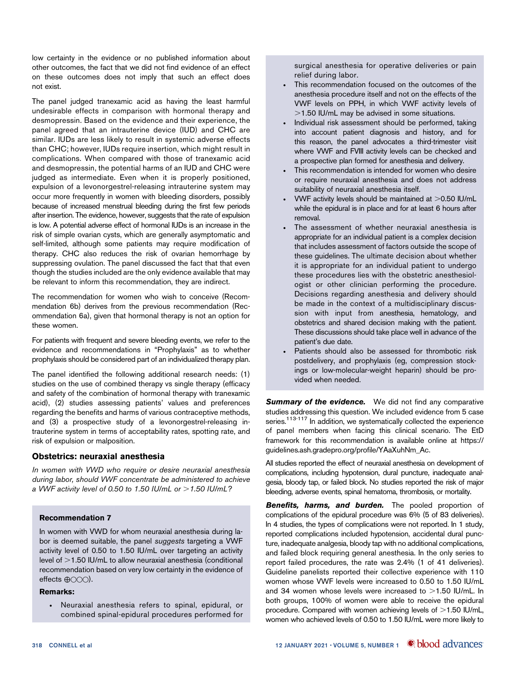<span id="page-17-0"></span>low certainty in the evidence or no published information about other outcomes, the fact that we did not find evidence of an effect on these outcomes does not imply that such an effect does not exist.

The panel judged tranexamic acid as having the least harmful undesirable effects in comparison with hormonal therapy and desmopressin. Based on the evidence and their experience, the panel agreed that an intrauterine device (IUD) and CHC are similar. IUDs are less likely to result in systemic adverse effects than CHC; however, IUDs require insertion, which might result in complications. When compared with those of tranexamic acid and desmopressin, the potential harms of an IUD and CHC were judged as intermediate. Even when it is properly positioned, expulsion of a levonorgestrel-releasing intrauterine system may occur more frequently in women with bleeding disorders, possibly because of increased menstrual bleeding during the first few periods after insertion. The evidence, however, suggests that the rate of expulsion is low. A potential adverse effect of hormonal IUDs is an increase in the risk of simple ovarian cysts, which are generally asymptomatic and self-limited, although some patients may require modification of therapy. CHC also reduces the risk of ovarian hemorrhage by suppressing ovulation. The panel discussed the fact that that even though the studies included are the only evidence available that may be relevant to inform this recommendation, they are indirect.

The recommendation for women who wish to conceive (Recommendation 6b) derives from the previous recommendation (Recommendation 6a), given that hormonal therapy is not an option for these women.

For patients with frequent and severe bleeding events, we refer to the evidence and recommendations in "Prophylaxis" as to whether prophylaxis should be considered part of an individualized therapy plan.

The panel identified the following additional research needs: (1) studies on the use of combined therapy vs single therapy (efficacy and safety of the combination of hormonal therapy with tranexamic acid), (2) studies assessing patients' values and preferences regarding the benefits and harms of various contraceptive methods, and (3) a prospective study of a levonorgestrel-releasing intrauterine system in terms of acceptability rates, spotting rate, and risk of expulsion or malposition.

### Obstetrics: neuraxial anesthesia

In women with VWD who require or desire neuraxial anesthesia during labor, should VWF concentrate be administered to achieve a VWF activity level of 0.50 to 1.50 IU/mL or  $>$  1.50 IU/mL?

#### Recommendation 7

In women with VWD for whom neuraxial anesthesia during labor is deemed suitable, the panel suggests targeting a VWF activity level of 0.50 to 1.50 IU/mL over targeting an activity level of  $>$ 1.50 IU/mL to allow neuraxial anesthesia (conditional recommendation based on very low certainty in the evidence of effects ⊕○○○).

#### Remarks:

• Neuraxial anesthesia refers to spinal, epidural, or combined spinal-epidural procedures performed for surgical anesthesia for operative deliveries or pain relief during labor.

- This recommendation focused on the outcomes of the anesthesia procedure itself and not on the effects of the VWF levels on PPH, in which VWF activity levels of  $>$ 1.50 IU/mL may be advised in some situations.
- Individual risk assessment should be performed, taking into account patient diagnosis and history, and for this reason, the panel advocates a third-trimester visit where VWF and FVIII activity levels can be checked and a prospective plan formed for anesthesia and delivery.
- This recommendation is intended for women who desire or require neuraxial anesthesia and does not address suitability of neuraxial anesthesia itself.
- VWF activity levels should be maintained at  $>$ 0.50 IU/mL while the epidural is in place and for at least 6 hours after removal.
- The assessment of whether neuraxial anesthesia is appropriate for an individual patient is a complex decision that includes assessment of factors outside the scope of these guidelines. The ultimate decision about whether it is appropriate for an individual patient to undergo these procedures lies with the obstetric anesthesiologist or other clinician performing the procedure. Decisions regarding anesthesia and delivery should be made in the context of a multidisciplinary discussion with input from anesthesia, hematology, and obstetrics and shared decision making with the patient. These discussions should take place well in advance of the patient's due date.
- Patients should also be assessed for thrombotic risk postdelivery, and prophylaxis (eg, compression stockings or low-molecular-weight heparin) should be provided when needed.

**Summary of the evidence.** We did not find any comparative studies addressing this question. We included evidence from 5 case series.<sup>113-117</sup> In addition, we systematically collected the experience of panel members when facing this clinical scenario. The EtD framework for this recommendation is available online at [https://](https://guidelines.ash.gradepro.org/profile/YAaXuhNm_Ac) [guidelines.ash.gradepro.org/profile/YAaXuhNm\\_Ac.](https://guidelines.ash.gradepro.org/profile/YAaXuhNm_Ac)

All studies reported the effect of neuraxial anesthesia on development of complications, including hypotension, dural puncture, inadequate analgesia, bloody tap, or failed block. No studies reported the risk of major bleeding, adverse events, spinal hematoma, thrombosis, or mortality.

Benefits, harms, and burden. The pooled proportion of complications of the epidural procedure was 6% (5 of 83 deliveries). In 4 studies, the types of complications were not reported. In 1 study, reported complications included hypotension, accidental dural puncture, inadequate analgesia, bloody tap with no additional complications, and failed block requiring general anesthesia. In the only series to report failed procedures, the rate was 2.4% (1 of 41 deliveries). Guideline panelists reported their collective experience with 110 women whose VWF levels were increased to 0.50 to 1.50 IU/mL and 34 women whose levels were increased to  $>1.50$  IU/mL. In both groups, 100% of women were able to receive the epidural procedure. Compared with women achieving levels of  $>1.50$  IU/mL, women who achieved levels of 0.50 to 1.50 IU/mL were more likely to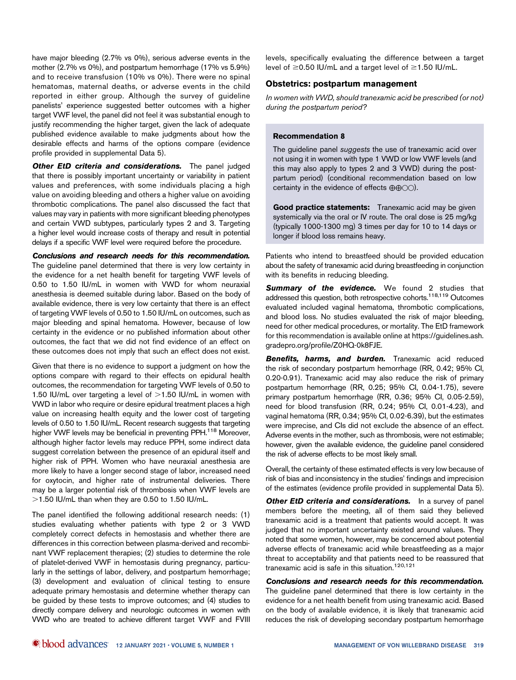<span id="page-18-0"></span>have major bleeding (2.7% vs 0%), serious adverse events in the mother (2.7% vs 0%), and postpartum hemorrhage (17% vs 5.9%) and to receive transfusion (10% vs 0%). There were no spinal hematomas, maternal deaths, or adverse events in the child reported in either group. Although the survey of guideline panelists' experience suggested better outcomes with a higher target VWF level, the panel did not feel it was substantial enough to justify recommending the higher target, given the lack of adequate published evidence available to make judgments about how the desirable effects and harms of the options compare (evidence profile provided in supplemental Data 5).

Other EtD criteria and considerations. The panel judged that there is possibly important uncertainty or variability in patient values and preferences, with some individuals placing a high value on avoiding bleeding and others a higher value on avoiding thrombotic complications. The panel also discussed the fact that values may vary in patients with more significant bleeding phenotypes and certain VWD subtypes, particularly types 2 and 3. Targeting a higher level would increase costs of therapy and result in potential delays if a specific VWF level were required before the procedure.

Conclusions and research needs for this recommendation. The guideline panel determined that there is very low certainty in the evidence for a net health benefit for targeting VWF levels of 0.50 to 1.50 IU/mL in women with VWD for whom neuraxial anesthesia is deemed suitable during labor. Based on the body of available evidence, there is very low certainty that there is an effect of targeting VWF levels of 0.50 to 1.50 IU/mL on outcomes, such as major bleeding and spinal hematoma. However, because of low certainty in the evidence or no published information about other outcomes, the fact that we did not find evidence of an effect on these outcomes does not imply that such an effect does not exist.

Given that there is no evidence to support a judgment on how the options compare with regard to their effects on epidural health outcomes, the recommendation for targeting VWF levels of 0.50 to 1.50 IU/mL over targeting a level of  $>1.50$  IU/mL in women with VWD in labor who require or desire epidural treatment places a high value on increasing health equity and the lower cost of targeting levels of 0.50 to 1.50 IU/mL. Recent research suggests that targeting higher VWF levels may be beneficial in preventing PPH.<sup>118</sup> Moreover, although higher factor levels may reduce PPH, some indirect data suggest correlation between the presence of an epidural itself and higher risk of PPH. Women who have neuraxial anesthesia are more likely to have a longer second stage of labor, increased need for oxytocin, and higher rate of instrumental deliveries. There may be a larger potential risk of thrombosis when VWF levels are  $>$ 1.50 IU/mL than when they are 0.50 to 1.50 IU/mL.

The panel identified the following additional research needs: (1) studies evaluating whether patients with type 2 or 3 VWD completely correct defects in hemostasis and whether there are differences in this correction between plasma-derived and recombinant VWF replacement therapies; (2) studies to determine the role of platelet-derived VWF in hemostasis during pregnancy, particularly in the settings of labor, delivery, and postpartum hemorrhage; (3) development and evaluation of clinical testing to ensure adequate primary hemostasis and determine whether therapy can be guided by these tests to improve outcomes; and (4) studies to directly compare delivery and neurologic outcomes in women with VWD who are treated to achieve different target VWF and FVIII

levels, specifically evaluating the difference between a target level of  $\geq$ 0.50 IU/mL and a target level of  $\geq$ 1.50 IU/mL.

### Obstetrics: postpartum management

In women with VWD, should tranexamic acid be prescribed (or not) during the postpartum period?

#### Recommendation 8

The guideline panel suggests the use of tranexamic acid over not using it in women with type 1 VWD or low VWF levels (and this may also apply to types 2 and 3 VWD) during the postpartum period) (conditional recommendation based on low certainty in the evidence of effects ⊕⊕◯◯).

Good practice statements: Tranexamic acid may be given systemically via the oral or IV route. The oral dose is 25 mg/kg (typically 1000-1300 mg) 3 times per day for 10 to 14 days or longer if blood loss remains heavy.

Patients who intend to breastfeed should be provided education about the safety of tranexamic acid during breastfeeding in conjunction with its benefits in reducing bleeding.

Summary of the evidence. We found 2 studies that addressed this question, both retrospective cohorts.<sup>118,119</sup> Outcomes evaluated included vaginal hematoma, thrombotic complications, and blood loss. No studies evaluated the risk of major bleeding, need for other medical procedures, or mortality. The EtD framework for this recommendation is available online at [https://guidelines.ash.](https://guidelines.ash.gradepro.org/profile/Z0HQ-0k8FJE) [gradepro.org/profile/Z0HQ-0k8FJE](https://guidelines.ash.gradepro.org/profile/Z0HQ-0k8FJE).

Benefits, harms, and burden. Tranexamic acid reduced the risk of secondary postpartum hemorrhage (RR, 0.42; 95% CI, 0.20-0.91). Tranexamic acid may also reduce the risk of primary postpartum hemorrhage (RR, 0.25; 95% CI, 0.04-1.75), severe primary postpartum hemorrhage (RR, 0.36; 95% CI, 0.05-2.59), need for blood transfusion (RR, 0.24; 95% CI, 0.01-4.23), and vaginal hematoma (RR, 0.34; 95% CI, 0.02-6.39), but the estimates were imprecise, and CIs did not exclude the absence of an effect. Adverse events in the mother, such as thrombosis, were not estimable; however, given the available evidence, the guideline panel considered the risk of adverse effects to be most likely small.

Overall, the certainty of these estimated effects is very low because of risk of bias and inconsistency in the studies' findings and imprecision of the estimates (evidence profile provided in supplemental Data 5).

Other EtD criteria and considerations. In a survey of panel members before the meeting, all of them said they believed tranexamic acid is a treatment that patients would accept. It was judged that no important uncertainty existed around values. They noted that some women, however, may be concerned about potential adverse effects of tranexamic acid while breastfeeding as a major threat to acceptability and that patients need to be reassured that tranexamic acid is safe in this situation.<sup>120,121</sup>

Conclusions and research needs for this recommendation. The guideline panel determined that there is low certainty in the evidence for a net health benefit from using tranexamic acid. Based on the body of available evidence, it is likely that tranexamic acid reduces the risk of developing secondary postpartum hemorrhage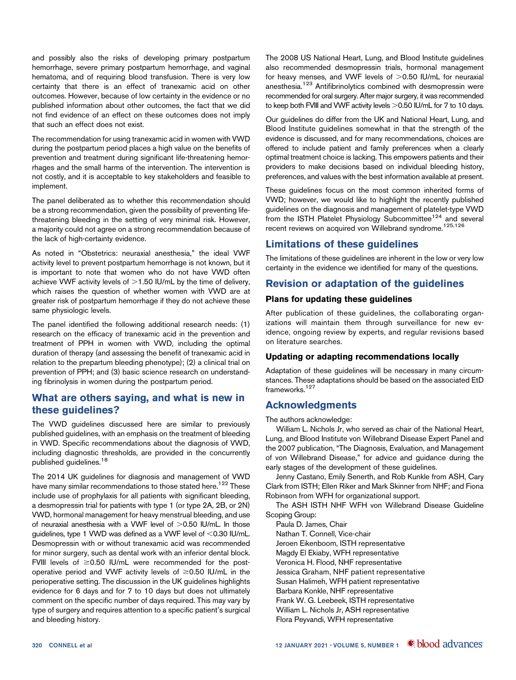and possibly also the risks of developing primary postpartum hemorrhage, severe primary postpartum hemorrhage, and vaginal hematoma, and of requiring blood transfusion. There is very low certainty that there is an effect of tranexamic acid on other outcomes. However, because of low certainty in the evidence or no published information about other outcomes, the fact that we did not find evidence of an effect on these outcomes does not imply that such an effect does not exist.

The recommendation for using tranexamic acid in women with VWD during the postpartum period places a high value on the benefits of prevention and treatment during significant life-threatening hemorrhages and the small harms of the intervention. The intervention is not costly, and it is acceptable to key stakeholders and feasible to implement.

The panel deliberated as to whether this recommendation should be a strong recommendation, given the possibility of preventing lifethreatening bleeding in the setting of very minimal risk. However, a majority could not agree on a strong recommendation because of the lack of high-certainty evidence.

As noted in "Obstetrics: neuraxial anesthesia," the ideal VWF activity level to prevent postpartum hemorrhage is not known, but it is important to note that women who do not have VWD often achieve VWF activity levels of  $>1.50$  IU/mL by the time of delivery, which raises the question of whether women with VWD are at greater risk of postpartum hemorrhage if they do not achieve these same physiologic levels.

The panel identified the following additional research needs: (1) research on the efficacy of tranexamic acid in the prevention and treatment of PPH in women with VWD, including the optimal duration of therapy (and assessing the benefit of tranexamic acid in relation to the prepartum bleeding phenotype); (2) a clinical trial on prevention of PPH; and (3) basic science research on understanding fibrinolysis in women during the postpartum period.

# What are others saying, and what is new in these guidelines?

The VWD guidelines discussed here are similar to previously published guidelines, with an emphasis on the treatment of bleeding in VWD. Specific recommendations about the diagnosis of VWD, including diagnostic thresholds, are provided in the concurrently published guidelines.<sup>18</sup>

The 2014 UK guidelines for diagnosis and management of VWD have many similar recommendations to those stated here.<sup>122</sup> These include use of prophylaxis for all patients with significant bleeding, a desmopressin trial for patients with type 1 (or type 2A, 2B, or 2N) VWD, hormonal management for heavy menstrual bleeding, and use of neuraxial anesthesia with a VWF level of  $>0.50$  IU/mL. In those guidelines, type 1 VWD was defined as a VWF level of <0.30 IU/mL. Desmopressin with or without tranexamic acid was recommended for minor surgery, such as dental work with an inferior dental block. FVIII levels of  $\geq$ 0.50 IU/mL were recommended for the postoperative period and VWF activity levels of  $\geq$ 0.50 IU/mL in the perioperative setting. The discussion in the UK guidelines highlights evidence for 6 days and for 7 to 10 days but does not ultimately comment on the specific number of days required. This may vary by type of surgery and requires attention to a specific patient's surgical and bleeding history.

The 2008 US National Heart, Lung, and Blood Institute guidelines also recommended desmopressin trials, hormonal management for heavy menses, and VWF levels of  $>0.50$  IU/mL for neuraxial anesthesia.<sup>123</sup> Antifibrinolytics combined with desmopressin were recommended for oral surgery. After major surgery, it was recommended to keep both FVIII and VWF activity levels  $>$  0.50 IU/mL for 7 to 10 days.

Our guidelines do differ from the UK and National Heart, Lung, and Blood Institute guidelines somewhat in that the strength of the evidence is discussed, and for many recommendations, choices are offered to include patient and family preferences when a clearly optimal treatment choice is lacking. This empowers patients and their providers to make decisions based on individual bleeding history, preferences, and values with the best information available at present.

These guidelines focus on the most common inherited forms of VWD; however, we would like to highlight the recently published guidelines on the diagnosis and management of platelet-type VWD from the ISTH Platelet Physiology Subcommittee<sup>124</sup> and several recent reviews on acquired von Willebrand syndrome.<sup>125,126</sup>

# Limitations of these guidelines

The limitations of these guidelines are inherent in the low or very low certainty in the evidence we identified for many of the questions.

# Revision or adaptation of the guidelines

# Plans for updating these guidelines

After publication of these guidelines, the collaborating organizations will maintain them through surveillance for new evidence, ongoing review by experts, and regular revisions based on literature searches.

# Updating or adapting recommendations locally

Adaptation of these guidelines will be necessary in many circumstances. These adaptations should be based on the associated EtD frameworks.<sup>127</sup>

# Acknowledgments

The authors acknowledge:

William L. Nichols Jr, who served as chair of the National Heart, Lung, and Blood Institute von Willebrand Disease Expert Panel and the 2007 publication, "The Diagnosis, Evaluation, and Management of von Willebrand Disease," for advice and guidance during the early stages of the development of these guidelines.

Jenny Castano, Emily Senerth, and Rob Kunkle from ASH, Cary Clark from ISTH; Ellen Riker and Mark Skinner from NHF; and Fiona Robinson from WFH for organizational support.

The ASH ISTH NHF WFH von Willebrand Disease Guideline Scoping Group:

Paula D. James, Chair Nathan T. Connell, Vice-chair Jeroen Eikenboom, ISTH representative Magdy El Ekiaby, WFH representative Veronica H. Flood, NHF representative Jessica Graham, NHF patient representative Susan Halimeh, WFH patient representative Barbara Konkle, NHF representative Frank W. G. Leebeek, ISTH representative William L. Nichols Jr, ASH representative Flora Peyvandi, WFH representative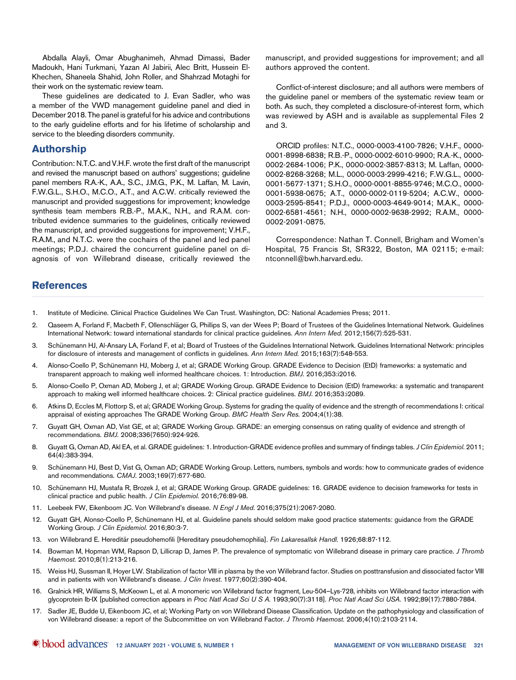Abdalla Alayli, Omar Abughanimeh, Ahmad Dimassi, Bader Madoukh, Hani Turkmani, Yazan Al Jabirii, Alec Britt, Hussein El-Khechen, Shaneela Shahid, John Roller, and Shahrzad Motaghi for their work on the systematic review team.

These guidelines are dedicated to J. Evan Sadler, who was a member of the VWD management guideline panel and died in December 2018. The panel is grateful for his advice and contributions to the early guideline efforts and for his lifetime of scholarship and service to the bleeding disorders community.

# Authorship

Contribution: N.T.C. and V.H.F. wrote the first draft of the manuscript and revised the manuscript based on authors' suggestions; guideline panel members R.A.-K., A.A., S.C., J.M.G., P.K., M. Laffan, M. Lavin, F.W.G.L., S.H.O., M.C.O., A.T., and A.C.W. critically reviewed the manuscript and provided suggestions for improvement; knowledge synthesis team members R.B.-P., M.A.K., N.H., and R.A.M. contributed evidence summaries to the guidelines, critically reviewed the manuscript, and provided suggestions for improvement; V.H.F., R.A.M., and N.T.C. were the cochairs of the panel and led panel meetings; P.D.J. chaired the concurrent guideline panel on diagnosis of von Willebrand disease, critically reviewed the

manuscript, and provided suggestions for improvement; and all authors approved the content.

Conflict-of-interest disclosure; and all authors were members of the guideline panel or members of the systematic review team or both. As such, they completed a disclosure-of-interest form, which was reviewed by ASH and is available as supplemental Files 2 and 3.

ORCID profiles: N.T.C., [0000-0003-4100-7826;](https://orcid.org/0000-0003-4100-7826) V.H.F., [0000-](https://orcid.org/0000-0001-8998-6838) [0001-8998-6838;](https://orcid.org/0000-0001-8998-6838) R.B.-P., [0000-0002-6010-9900](https://orcid.org/0000-0002-6010-9900); R.A.-K., [0000-](https://orcid.org/0000-0002-2684-1006) [0002-2684-1006;](https://orcid.org/0000-0002-2684-1006) P.K., [0000-0002-3857-8313](https://orcid.org/0000-0002-3857-8313); M. Laffan, [0000-](https://orcid.org/0000-0002-8268-3268) [0002-8268-3268;](https://orcid.org/0000-0002-8268-3268) M.L., [0000-0003-2999-4216](https://orcid.org/0000-0003-2999-4216); F.W.G.L., [0000-](https://orcid.org/0000-0001-5677-1371) [0001-5677-1371;](https://orcid.org/0000-0001-5677-1371) S.H.O., [0000-0001-8855-9746](https://orcid.org/0000-0001-8855-9746); M.C.O., [0000-](https://orcid.org/0000-0001-5938-0675) [0001-5938-0675;](https://orcid.org/0000-0001-5938-0675) A.T., [0000-0002-0119-5204;](https://orcid.org/0000-0002-0119-5204) A.C.W., [0000-](https://orcid.org/0000-0003-2595-8541) [0003-2595-8541;](https://orcid.org/0000-0003-2595-8541) P.D.J., [0000-0003-4649-9014;](https://orcid.org/0000-0003-4649-9014) M.A.K., [0000-](https://orcid.org/0000-0002-6581-4561) [0002-6581-4561;](https://orcid.org/0000-0002-6581-4561) N.H., [0000-0002-9638-2992;](https://orcid.org/0000-0002-9638-2992) R.A.M., [0000-](https://orcid.org/0000-0002-2091-0875) [0002-2091-0875.](https://orcid.org/0000-0002-2091-0875)

Correspondence: Nathan T. Connell, Brigham and Women's Hospital, 75 Francis St, SR322, Boston, MA 02115; e-mail: [ntconnell@bwh.harvard.edu.](mailto:ntconnell@bwh.harvard.edu)

# **References**

- 1. Institute of Medicine. Clinical Practice Guidelines We Can Trust. Washington, DC: National Academies Press; 2011.
- 2. Qaseem A, Forland F, Macbeth F, Ollenschlager G, Phillips S, van der Wees P; Board of Trustees of the Guidelines International Network. Guidelines ¨ International Network: toward international standards for clinical practice guidelines. Ann Intern Med. 2012;156(7):525-531.
- 3. Schünemann HJ, Al-Ansary LA, Forland F, et al; Board of Trustees of the Guidelines International Network. Guidelines International Network: principles for disclosure of interests and management of conflicts in guidelines. Ann Intern Med. 2015;163(7):548-553.
- 4. Alonso-Coello P, Schünemann HJ, Moberg J, et al; GRADE Working Group. GRADE Evidence to Decision (EtD) frameworks: a systematic and transparent approach to making well informed healthcare choices. 1: Introduction. BMJ. 2016;353:i2016.
- 5. Alonso-Coello P, Oxman AD, Moberg J, et al; GRADE Working Group. GRADE Evidence to Decision (EtD) frameworks: a systematic and transparent approach to making well informed healthcare choices. 2: Clinical practice guidelines. BMJ. 2016;353:i2089.
- 6. Atkins D, Eccles M, Flottorp S, et al; GRADE Working Group. Systems for grading the quality of evidence and the strength of recommendations I: critical appraisal of existing approaches The GRADE Working Group. BMC Health Serv Res. 2004;4(1):38.
- 7. Guyatt GH, Oxman AD, Vist GE, et al; GRADE Working Group. GRADE: an emerging consensus on rating quality of evidence and strength of recommendations. BMJ. 2008;336(7650):924-926.
- 8. Guyatt G, Oxman AD, Akl EA, et al. GRADE guidelines: 1. Introduction-GRADE evidence profiles and summary of findings tables. J Clin Epidemiol. 2011; 64(4):383-394.
- 9. Schünemann HJ, Best D, Vist G, Oxman AD; GRADE Working Group. Letters, numbers, symbols and words: how to communicate grades of evidence and recommendations. CMAJ. 2003;169(7):677-680.
- 10. Schünemann HJ, Mustafa R, Brozek J, et al; GRADE Working Group. GRADE quidelines: 16. GRADE evidence to decision frameworks for tests in clinical practice and public health. J Clin Epidemiol. 2016;76:89-98.
- 11. Leebeek FW, Eikenboom JC. Von Willebrand's disease. N Engl J Med. 2016;375(21):2067-2080.
- 12. Guyatt GH, Alonso-Coello P, Schunemann HJ, et al. Guideline panels should seldom make good practice statements: guidance from the GRADE ¨ Working Group. J Clin Epidemiol. 2016;80:3-7.
- 13. von Willebrand E. Hereditär pseudohemofili [Hereditary pseudohemophilia]. Fin Lakaresallsk Handl. 1926;68:87-112.
- 14. Bowman M, Hopman WM, Rapson D, Lillicrap D, James P. The prevalence of symptomatic von Willebrand disease in primary care practice. J Thromb Haemost. 2010;8(1):213-216.
- 15. Weiss HJ, Sussman II, Hoyer LW. Stabilization of factor VIII in plasma by the von Willebrand factor. Studies on posttransfusion and dissociated factor VIII and in patients with von Willebrand's disease. J Clin Invest. 1977;60(2):390-404.
- 16. Gralnick HR, Williams S, McKeown L, et al. A monomeric von Willebrand factor fragment, Leu-504–Lys-728, inhibits von Willebrand factor interaction with glycoprotein Ib-IX [published correction appears in Proc Natl Acad Sci U S A. 1993;90(7):3118]. Proc Natl Acad Sci USA. 1992;89(17):7880-7884.
- 17. Sadler JE, Budde U, Eikenboom JC, et al; Working Party on von Willebrand Disease Classification. Update on the pathophysiology and classification of von Willebrand disease: a report of the Subcommittee on von Willebrand Factor. J Thromb Haemost. 2006;4(10):2103-2114.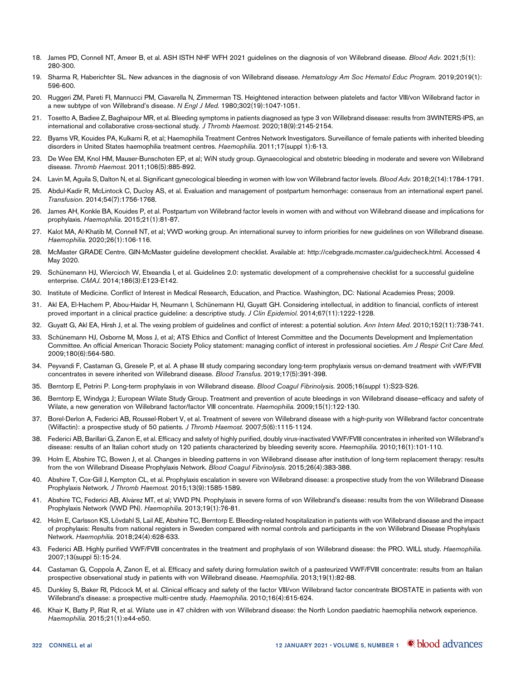- 18. James PD, Connell NT, Ameer B, et al. ASH ISTH NHF WFH 2021 guidelines on the diagnosis of von Willebrand disease. Blood Adv. 2021;5(1): 280-300.
- 19. Sharma R, Haberichter SL. New advances in the diagnosis of von Willebrand disease. Hematology Am Soc Hematol Educ Program. 2019;2019(1): 596-600.
- 20. Ruggeri ZM, Pareti FI, Mannucci PM, Ciavarella N, Zimmerman TS. Heightened interaction between platelets and factor VIII/von Willebrand factor in a new subtype of von Willebrand's disease. N Engl J Med. 1980;302(19):1047-1051.
- 21. Tosetto A, Badiee Z, Baghaipour MR, et al. Bleeding symptoms in patients diagnosed as type 3 von Willebrand disease: results from 3WINTERS-IPS, an international and collaborative cross-sectional study. J Thromb Haemost. 2020;18(9):2145-2154.
- 22. Byams VR, Kouides PA, Kulkarni R, et al; Haemophilia Treatment Centres Network Investigators. Surveillance of female patients with inherited bleeding disorders in United States haemophilia treatment centres. Haemophilia. 2011;17(suppl 1):6-13.
- 23. De Wee EM, Knol HM, Mauser-Bunschoten EP, et al; WiN study group. Gynaecological and obstetric bleeding in moderate and severe von Willebrand disease. Thromb Haemost. 2011;106(5):885-892.
- 24. Lavin M, Aguila S, Dalton N, et al. Significant gynecological bleeding in women with low von Willebrand factor levels. Blood Adv. 2018;2(14):1784-1791.
- 25. Abdul-Kadir R, McLintock C, Ducloy AS, et al. Evaluation and management of postpartum hemorrhage: consensus from an international expert panel. Transfusion. 2014;54(7):1756-1768.
- 26. James AH, Konkle BA, Kouides P, et al. Postpartum von Willebrand factor levels in women with and without von Willebrand disease and implications for prophylaxis. Haemophilia. 2015;21(1):81-87.
- 27. Kalot MA, Al-Khatib M, Connell NT, et al; VWD working group. An international survey to inform priorities for new guidelines on von Willebrand disease. Haemophilia. 2020;26(1):106-116.
- 28. McMaster GRADE Centre. GIN-McMaster guideline development checklist. Available at:<http://cebgrade.mcmaster.ca/guidecheck.html>. Accessed 4 May 2020.
- 29. Schünemann HJ, Wiercioch W, Etxeandia I, et al. Guidelines 2.0: systematic development of a comprehensive checklist for a successful guideline enterprise. CMAJ. 2014;186(3):E123-E142.
- 30. Institute of Medicine. Conflict of Interest in Medical Research, Education, and Practice. Washington, DC: National Academies Press; 2009.
- 31. Akl EA, El-Hachem P, Abou-Haidar H, Neumann I, Schunemann HJ, Guyatt GH. Considering intellectual, in addition to financial, conflicts of interest ¨ proved important in a clinical practice guideline: a descriptive study. J Clin Epidemiol. 2014;67(11):1222-1228.
- 32. Guyatt G, Akl EA, Hirsh J, et al. The vexing problem of guidelines and conflict of interest: a potential solution. Ann Intern Med. 2010;152(11):738-741.
- 33. Schünemann HJ, Osborne M, Moss J, et al; ATS Ethics and Conflict of Interest Committee and the Documents Development and Implementation Committee. An official American Thoracic Society Policy statement: managing conflict of interest in professional societies. Am J Respir Crit Care Med. 2009;180(6):564-580.
- 34. Peyvandi F, Castaman G, Gresele P, et al. A phase III study comparing secondary long-term prophylaxis versus on-demand treatment with vWF/FVIII concentrates in severe inherited von Willebrand disease. Blood Transfus. 2019;17(5):391-398.
- 35. Berntorp E, Petrini P. Long-term prophylaxis in von Willebrand disease. Blood Coagul Fibrinolysis. 2005;16(suppl 1):S23-S26.
- 36. Berntorp E, Windyga J; European Wilate Study Group. Treatment and prevention of acute bleedings in von Willebrand disease–efficacy and safety of Wilate, a new generation von Willebrand factor/factor VIII concentrate. Haemophilia. 2009;15(1):122-130.
- 37. Borel-Derlon A, Federici AB, Roussel-Robert V, et al. Treatment of severe von Willebrand disease with a high-purity von Willebrand factor concentrate (Wilfactin): a prospective study of 50 patients. J Thromb Haemost. 2007;5(6):1115-1124.
- Federici AB, Barillari G, Zanon E, et al. Efficacy and safety of highly purified, doubly virus-inactivated VWF/FVIII concentrates in inherited von Willebrand's disease: results of an Italian cohort study on 120 patients characterized by bleeding severity score. Haemophilia. 2010;16(1):101-110.
- 39. Holm E, Abshire TC, Bowen J, et al. Changes in bleeding patterns in von Willebrand disease after institution of long-term replacement therapy: results from the von Willebrand Disease Prophylaxis Network. Blood Coagul Fibrinolysis. 2015;26(4):383-388.
- 40. Abshire T, Cox-Gill J, Kempton CL, et al. Prophylaxis escalation in severe von Willebrand disease: a prospective study from the von Willebrand Disease Prophylaxis Network. J Thromb Haemost. 2015;13(9):1585-1589.
- 41. Abshire TC, Federici AB, Alvárez MT, et al; VWD PN. Prophylaxis in severe forms of von Willebrand's disease: results from the von Willebrand Disease Prophylaxis Network (VWD PN). Haemophilia. 2013;19(1):76-81.
- 42. Holm E, Carlsson KS, Lövdahl S, Lail AE, Abshire TC, Berntorp E. Bleeding-related hospitalization in patients with von Willebrand disease and the impact of prophylaxis: Results from national registers in Sweden compared with normal controls and participants in the von Willebrand Disease Prophylaxis Network. Haemophilia. 2018;24(4):628-633.
- 43. Federici AB. Highly purified VWF/FVIII concentrates in the treatment and prophylaxis of von Willebrand disease: the PRO. WILL study. Haemophilia. 2007;13(suppl 5):15-24.
- 44. Castaman G, Coppola A, Zanon E, et al. Efficacy and safety during formulation switch of a pasteurized VWF/FVIII concentrate: results from an Italian prospective observational study in patients with von Willebrand disease. Haemophilia. 2013;19(1):82-88.
- 45. Dunkley S, Baker RI, Pidcock M, et al. Clinical efficacy and safety of the factor VIII/von Willebrand factor concentrate BIOSTATE in patients with von Willebrand's disease: a prospective multi-centre study. Haemophilia. 2010;16(4):615-624.
- 46. Khair K, Batty P, Riat R, et al. Wilate use in 47 children with von Willebrand disease: the North London paediatric haemophilia network experience. Haemophilia. 2015;21(1):e44-e50.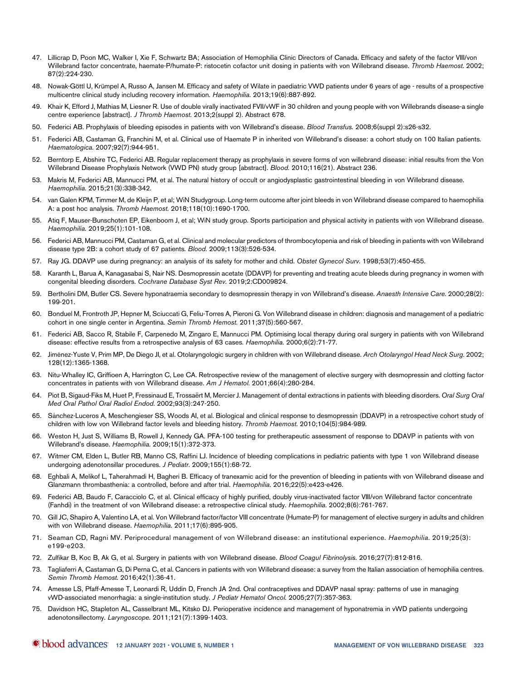- 47. Lillicrap D, Poon MC, Walker I, Xie F, Schwartz BA; Association of Hemophilia Clinic Directors of Canada. Efficacy and safety of the factor VIII/von Willebrand factor concentrate, haemate-P/humate-P: ristocetin cofactor unit dosing in patients with von Willebrand disease. Thromb Haemost. 2002; 87(2):224-230.
- 48. Nowak-Göttl U, Krümpel A, Russo A, Jansen M. Efficacy and safety of Wilate in paediatric VWD patients under 6 years of age results of a prospective multicentre clinical study including recovery information. Haemophilia. 2013;19(6):887-892.
- 49. Khair K, Efford J, Mathias M, Liesner R. Use of double virally inactivated FVII/vWF in 30 children and young people with von Willebrands disease-a single centre experience [abstract]. J Thromb Haemost. 2013;2(suppl 2). Abstract 678.
- 50. Federici AB. Prophylaxis of bleeding episodes in patients with von Willebrand's disease. Blood Transfus. 2008;6(suppl 2):s26-s32.
- 51. Federici AB, Castaman G, Franchini M, et al. Clinical use of Haemate P in inherited von Willebrand's disease: a cohort study on 100 Italian patients. Haematologica. 2007;92(7):944-951.
- 52. Berntorp E, Abshire TC, Federici AB. Regular replacement therapy as prophylaxis in severe forms of von willebrand disease: initial results from the Von Willebrand Disease Prophylaxis Network (VWD PN) study group [abstract]. Blood. 2010;116(21). Abstract 236.
- 53. Makris M, Federici AB, Mannucci PM, et al. The natural history of occult or angiodysplastic gastrointestinal bleeding in von Willebrand disease. Haemophilia. 2015;21(3):338-342.
- 54. van Galen KPM, Timmer M, de Kleijn P, et al; WiN Studygroup. Long-term outcome after joint bleeds in von Willebrand disease compared to haemophilia A: a post hoc analysis. Thromb Haemost. 2018;118(10):1690-1700.
- 55. Atiq F, Mauser-Bunschoten EP, Eikenboom J, et al; WiN study group. Sports participation and physical activity in patients with von Willebrand disease. Haemophilia. 2019;25(1):101-108.
- 56. Federici AB, Mannucci PM, Castaman G, et al. Clinical and molecular predictors of thrombocytopenia and risk of bleeding in patients with von Willebrand disease type 2B: a cohort study of 67 patients. Blood. 2009;113(3):526-534.
- 57. Ray JG. DDAVP use during pregnancy: an analysis of its safety for mother and child. Obstet Gynecol Surv. 1998;53(7):450-455.
- 58. Karanth L, Barua A, Kanagasabai S, Nair NS. Desmopressin acetate (DDAVP) for preventing and treating acute bleeds during pregnancy in women with congenital bleeding disorders. Cochrane Database Syst Rev. 2019;2:CD009824.
- 59. Bertholini DM, Butler CS. Severe hyponatraemia secondary to desmopressin therapy in von Willebrand's disease. Anaesth Intensive Care. 2000;28(2): 199-201.
- 60. Bonduel M, Frontroth JP, Hepner M, Sciuccati G, Feliu-Torres A, Pieroni G. Von Willebrand disease in children: diagnosis and management of a pediatric cohort in one single center in Argentina. Semin Thromb Hemost. 2011;37(5):560-567.
- 61. Federici AB, Sacco R, Stabile F, Carpenedo M, Zingaro E, Mannucci PM. Optimising local therapy during oral surgery in patients with von Willebrand disease: effective results from a retrospective analysis of 63 cases. Haemophilia. 2000;6(2):71-77.
- 62. Jiménez-Yuste V, Prim MP, De Diego Jl, et al. Otolaryngologic surgery in children with von Willebrand disease. Arch Otolaryngol Head Neck Surg. 2002; 128(12):1365-1368.
- 63. Nitu-Whalley IC, Griffioen A, Harrington C, Lee CA. Retrospective review of the management of elective surgery with desmopressin and clotting factor concentrates in patients with von Willebrand disease. Am J Hematol. 2001;66(4):280-284.
- 64. Piot B, Sigaud-Fiks M, Huet P, Fressinaud E, Trossaërt M, Mercier J. Management of dental extractions in patients with bleeding disorders. Oral Surg Oral Med Oral Pathol Oral Radiol Endod. 2002;93(3):247-250.
- 65. Sanchez-Luceros A, Meschengieser SS, Woods AI, et al. Biological and clinical response to desmopressin (DDAVP) in a retrospective cohort study of ´ children with low von Willebrand factor levels and bleeding history. Thromb Haemost. 2010;104(5):984-989.
- 66. Weston H, Just S, Williams B, Rowell J, Kennedy GA. PFA-100 testing for pretherapeutic assessment of response to DDAVP in patients with von Willebrand's disease. Haemophilia. 2009;15(1):372-373.
- 67. Witmer CM, Elden L, Butler RB, Manno CS, Raffini LJ. Incidence of bleeding complications in pediatric patients with type 1 von Willebrand disease undergoing adenotonsillar procedures. J Pediatr. 2009;155(1):68-72.
- 68. Eghbali A, Melikof L, Taherahmadi H, Bagheri B. Efficacy of tranexamic acid for the prevention of bleeding in patients with von Willebrand disease and Glanzmann thrombasthenia: a controlled, before and after trial. Haemophilia. 2016;22(5):e423-e426.
- 69. Federici AB, Baudo F, Caracciolo C, et al. Clinical efficacy of highly purified, doubly virus-inactivated factor VIII/von Willebrand factor concentrate (Fanhdi) in the treatment of von Willebrand disease: a retrospective clinical study. Haemophilia. 2002;8(6):761-767.
- 70. Gill JC, Shapiro A, Valentino LA, et al. Von Willebrand factor/factor VIII concentrate (Humate-P) for management of elective surgery in adults and children with von Willebrand disease. Haemophilia. 2011;17(6):895-905.
- 71. Seaman CD, Ragni MV. Periprocedural management of von Willebrand disease: an institutional experience. Haemophilia. 2019;25(3): e199-e203.
- 72. Zulfikar B, Koc B, Ak G, et al. Surgery in patients with von Willebrand disease. Blood Coagul Fibrinolysis. 2016;27(7):812-816.
- 73. Tagliaferri A, Castaman G, Di Perna C, et al. Cancers in patients with von Willebrand disease: a survey from the Italian association of hemophilia centres. Semin Thromb Hemost. 2016;42(1):36-41.
- 74. Amesse LS, Pfaff-Amesse T, Leonardi R, Uddin D, French JA 2nd. Oral contraceptives and DDAVP nasal spray: patterns of use in managing vWD-associated menorrhagia: a single-institution study. J Pediatr Hematol Oncol. 2005;27(7):357-363.
- Davidson HC, Stapleton AL, Casselbrant ML, Kitsko DJ. Perioperative incidence and management of hyponatremia in vWD patients undergoing adenotonsillectomy. Laryngoscope. 2011;121(7):1399-1403.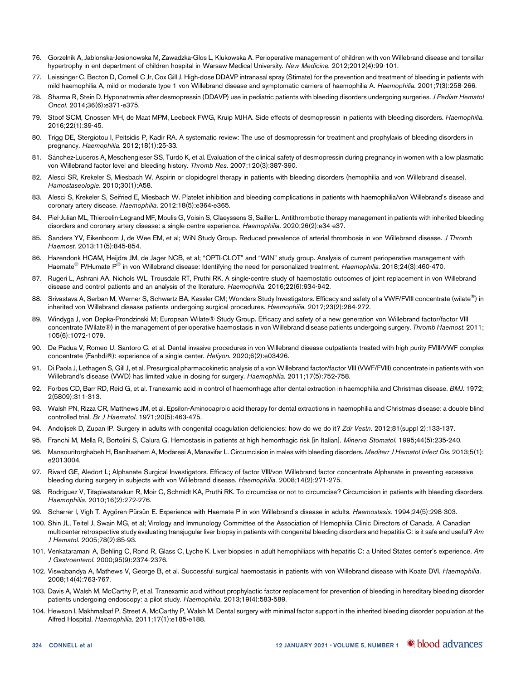- 76. Gorzelnik A, Jablonska-Jesionowska M, Zawadzka-Glos L, Klukowska A. Perioperative management of children with von Willebrand disease and tonsillar hypertrophy in ent department of children hospital in Warsaw Medical University. New Medicine. 2012;2012(4):99-101.
- 77. Leissinger C, Becton D, Cornell C Jr, Cox Gill J. High-dose DDAVP intranasal spray (Stimate) for the prevention and treatment of bleeding in patients with mild haemophilia A, mild or moderate type 1 von Willebrand disease and symptomatic carriers of haemophilia A. Haemophilia. 2001;7(3):258-266.
- 78. Sharma R, Stein D. Hyponatremia after desmopressin (DDAVP) use in pediatric patients with bleeding disorders undergoing surgeries. J Pediatr Hematol Oncol. 2014;36(6):e371-e375.
- 79. Stoof SCM, Cnossen MH, de Maat MPM, Leebeek FWG, Kruip MJHA. Side effects of desmopressin in patients with bleeding disorders. Haemophilia. 2016;22(1):39-45.
- 80. Trigg DE, Stergiotou I, Peitsidis P, Kadir RA. A systematic review: The use of desmopressin for treatment and prophylaxis of bleeding disorders in pregnancy. Haemophilia. 2012;18(1):25-33.
- 81. Sánchez-Luceros A, Meschengieser SS, Turdó K, et al. Evaluation of the clinical safety of desmopressin during pregnancy in women with a low plasmatic von Willebrand factor level and bleeding history. Thromb Res. 2007;120(3):387-390.
- 82. Alesci SR, Krekeler S, Miesbach W. Aspirin or clopidogrel therapy in patients with bleeding disorders (hemophilia and von Willebrand disease). Hamostaseologie. 2010;30(1):A58.
- 83. Alesci S, Krekeler S, Seifried E, Miesbach W. Platelet inhibition and bleeding complications in patients with haemophilia/von Willebrand's disease and coronary artery disease. Haemophilia. 2012;18(5):e364-e365.
- 84. Piel-Julian ML, Thiercelin-Legrand MF, Moulis G, Voisin S, Claeyssens S, Sailler L. Antithrombotic therapy management in patients with inherited bleeding disorders and coronary artery disease: a single-centre experience. Haemophilia. 2020;26(2):e34-e37.
- 85. Sanders YV, Eikenboom J, de Wee EM, et al; WiN Study Group. Reduced prevalence of arterial thrombosis in von Willebrand disease. J Thromb Haemost. 2013;11(5):845-854.
- 86. Hazendonk HCAM, Heijdra JM, de Jager NCB, et al; "OPTI-CLOT" and "WIN" study group. Analysis of current perioperative management with Haemate<sup>®</sup> P/Humate P® in von Willebrand disease: Identifying the need for personalized treatment. *Haemophilia*. 2018;24(3):460-470.
- 87. Rugeri L, Ashrani AA, Nichols WL, Trousdale RT, Pruthi RK. A single-centre study of haemostatic outcomes of joint replacement in von Willebrand disease and control patients and an analysis of the literature. Haemophilia. 2016;22(6):934-942.
- 88. Srivastava A, Serban M, Werner S, Schwartz BA, Kessler CM; Wonders Study Investigators. Efficacy and safety of a VWF/FVIII concentrate (wilate®) in inherited von Willebrand disease patients undergoing surgical procedures. Haemophilia. 2017;23(2):264-272.
- 89. Windyga J, von Depka-Prondzinski M; European Wilate® Study Group. Efficacy and safety of a new generation von Willebrand factor/factor VIII concentrate (Wilate®) in the management of perioperative haemostasis in von Willebrand disease patients undergoing surgery. Thromb Haemost. 2011; 105(6):1072-1079.
- 90. De Padua V, Romeo U, Santoro C, et al. Dental invasive procedures in von Willebrand disease outpatients treated with high purity FVIII/VWF complex concentrate (Fanhdi®): experience of a single center. Heliyon. 2020;6(2):e03426.
- 91. Di Paola J, Lethagen S, Gill J, et al. Presurgical pharmacokinetic analysis of a von Willebrand factor/factor VIII (VWF/FVIII) concentrate in patients with von Willebrand's disease (VWD) has limited value in dosing for surgery. Haemophilia. 2011;17(5):752-758.
- 92. Forbes CD, Barr RD, Reid G, et al. Tranexamic acid in control of haemorrhage after dental extraction in haemophilia and Christmas disease. BMJ. 1972; 2(5809):311-313.
- 93. Walsh PN, Rizza CR, Matthews JM, et al. Epsilon-Aminocaproic acid therapy for dental extractions in haemophilia and Christmas disease: a double blind controlled trial. Br J Haematol. 1971;20(5):463-475.
- 94. Andoljsek D, Zupan IP. Surgery in adults with congenital coagulation deficiencies: how do we do it? Zdr Vestn. 2012;81(suppl 2):133-137.
- 95. Franchi M, Mella R, Bortolini S, Calura G. Hemostasis in patients at high hemorrhagic risk [in Italian]. Minerva Stomatol. 1995;44(5):235-240.
- 96. Mansouritorghabeh H, Banihashem A, Modaresi A, Manavifar L. Circumcision in males with bleeding disorders. Mediterr J Hematol Infect Dis. 2013;5(1): e2013004.
- 97. Rivard GE, Aledort L; Alphanate Surgical Investigators. Efficacy of factor VIII/von Willebrand factor concentrate Alphanate in preventing excessive bleeding during surgery in subjects with von Willebrand disease. Haemophilia. 2008;14(2):271-275.
- 98. Rodriguez V, Titapiwatanakun R, Moir C, Schmidt KA, Pruthi RK. To circumcise or not to circumcise? Circumcision in patients with bleeding disorders. Haemophilia. 2010;16(2):272-276.
- 99. Scharrer I, Vigh T, Aygören-Pürsün E. Experience with Haemate P in von Willebrand's disease in adults. Haemostasis. 1994;24(5):298-303.
- 100. Shin JL, Teitel J, Swain MG, et al; Virology and Immunology Committee of the Association of Hemophilia Clinic Directors of Canada. A Canadian multicenter retrospective study evaluating transjugular liver biopsy in patients with congenital bleeding disorders and hepatitis C: is it safe and useful? Am J Hematol. 2005;78(2):85-93.
- 101. Venkataramani A, Behling C, Rond R, Glass C, Lyche K. Liver biopsies in adult hemophiliacs with hepatitis C: a United States center's experience. Am J Gastroenterol. 2000;95(9):2374-2376.
- 102. Viswabandya A, Mathews V, George B, et al. Successful surgical haemostasis in patients with von Willebrand disease with Koate DVI. Haemophilia. 2008;14(4):763-767.
- 103. Davis A, Walsh M, McCarthy P, et al. Tranexamic acid without prophylactic factor replacement for prevention of bleeding in hereditary bleeding disorder patients undergoing endoscopy: a pilot study. Haemophilia. 2013;19(4):583-589.
- 104. Hewson I, Makhmalbaf P, Street A, McCarthy P, Walsh M. Dental surgery with minimal factor support in the inherited bleeding disorder population at the Alfred Hospital. Haemophilia. 2011;17(1):e185-e188.